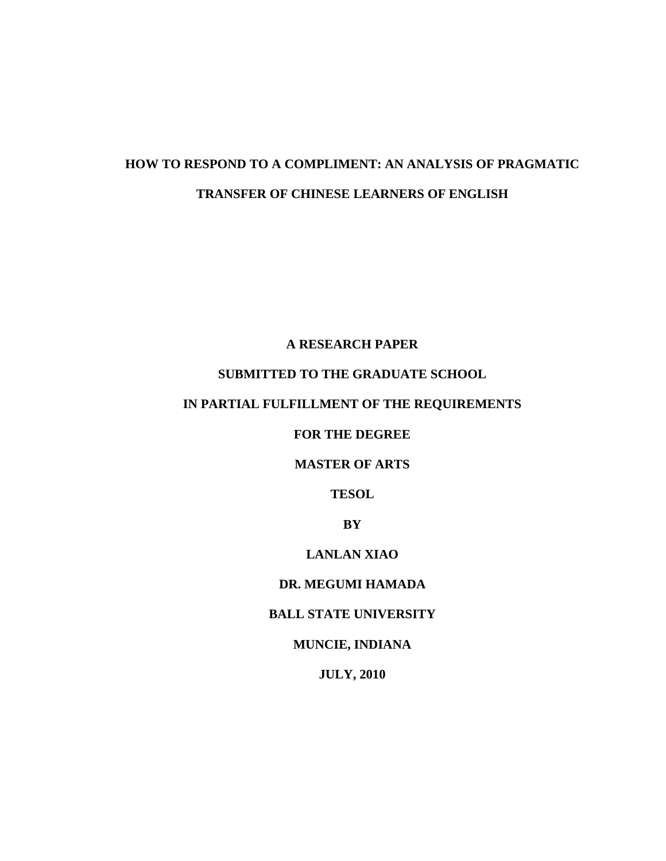# **HOW TO RESPOND TO A COMPLIMENT: AN ANALYSIS OF PRAGMATIC TRANSFER OF CHINESE LEARNERS OF ENGLISH**

## **A RESEARCH PAPER**

# **SUBMITTED TO THE GRADUATE SCHOOL**

# **IN PARTIAL FULFILLMENT OF THE REQUIREMENTS**

## **FOR THE DEGREE**

### **MASTER OF ARTS**

**TESOL**

**BY**

## **LANLAN XIAO**

## **DR. MEGUMI HAMADA**

### **BALL STATE UNIVERSITY**

# **MUNCIE, INDIANA**

# **JULY, 2010**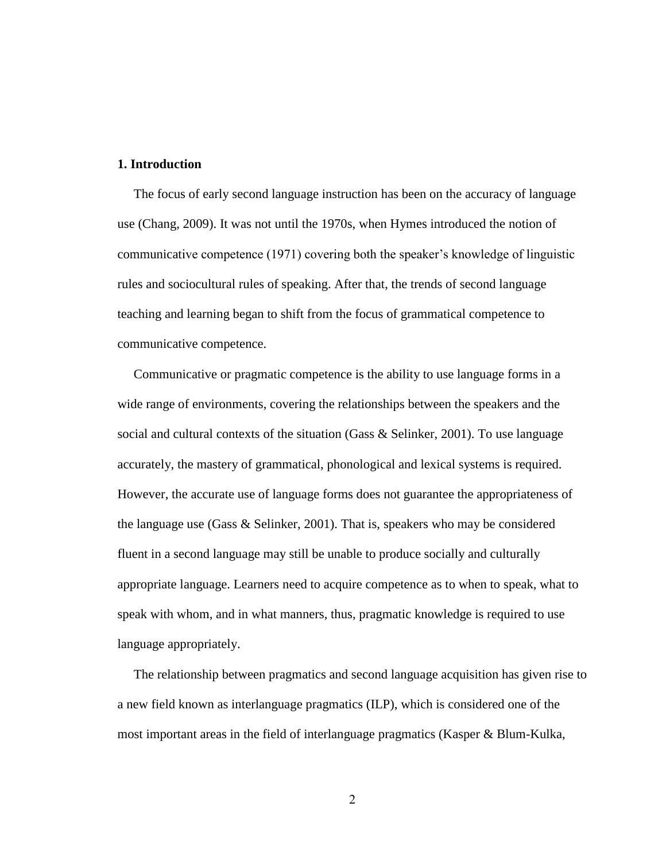#### **1. Introduction**

 The focus of early second language instruction has been on the accuracy of language use (Chang, 2009). It was not until the 1970s, when Hymes introduced the notion of communicative competence (1971) covering both the speaker's knowledge of linguistic rules and sociocultural rules of speaking. After that, the trends of second language teaching and learning began to shift from the focus of grammatical competence to communicative competence.

 Communicative or pragmatic competence is the ability to use language forms in a wide range of environments, covering the relationships between the speakers and the social and cultural contexts of the situation (Gass & Selinker, 2001). To use language accurately, the mastery of grammatical, phonological and lexical systems is required. However, the accurate use of language forms does not guarantee the appropriateness of the language use (Gass & Selinker, 2001). That is, speakers who may be considered fluent in a second language may still be unable to produce socially and culturally appropriate language. Learners need to acquire competence as to when to speak, what to speak with whom, and in what manners, thus, pragmatic knowledge is required to use language appropriately.

 The relationship between pragmatics and second language acquisition has given rise to a new field known as interlanguage pragmatics (ILP), which is considered one of the most important areas in the field of interlanguage pragmatics (Kasper & Blum-Kulka,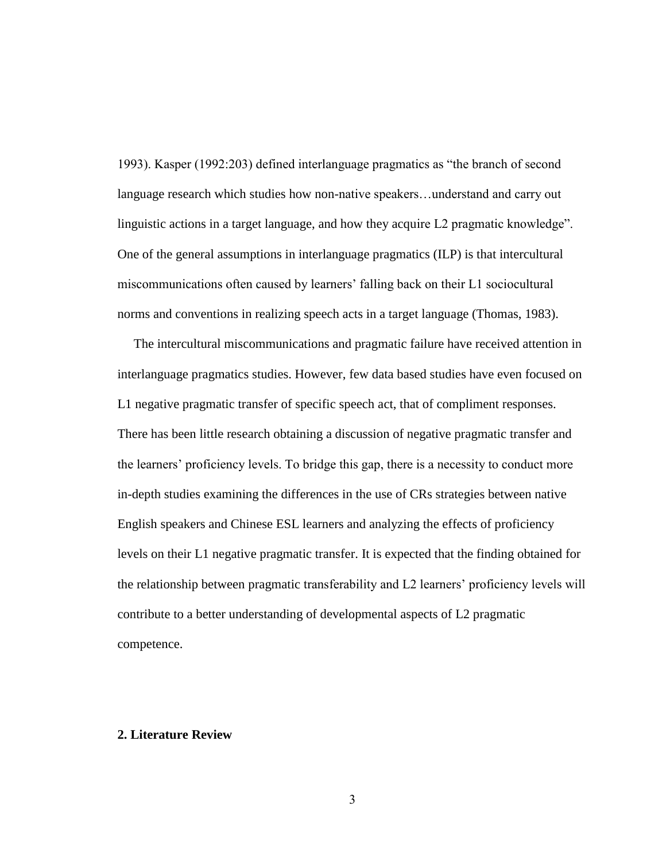1993). Kasper (1992:203) defined interlanguage pragmatics as "the branch of second language research which studies how non-native speakers…understand and carry out linguistic actions in a target language, and how they acquire L2 pragmatic knowledge". One of the general assumptions in interlanguage pragmatics (ILP) is that intercultural miscommunications often caused by learners' falling back on their L1 sociocultural norms and conventions in realizing speech acts in a target language (Thomas, 1983).

 The intercultural miscommunications and pragmatic failure have received attention in interlanguage pragmatics studies. However, few data based studies have even focused on L1 negative pragmatic transfer of specific speech act, that of compliment responses. There has been little research obtaining a discussion of negative pragmatic transfer and the learners' proficiency levels. To bridge this gap, there is a necessity to conduct more in-depth studies examining the differences in the use of CRs strategies between native English speakers and Chinese ESL learners and analyzing the effects of proficiency levels on their L1 negative pragmatic transfer. It is expected that the finding obtained for the relationship between pragmatic transferability and L2 learners' proficiency levels will contribute to a better understanding of developmental aspects of L2 pragmatic competence.

#### **2. Literature Review**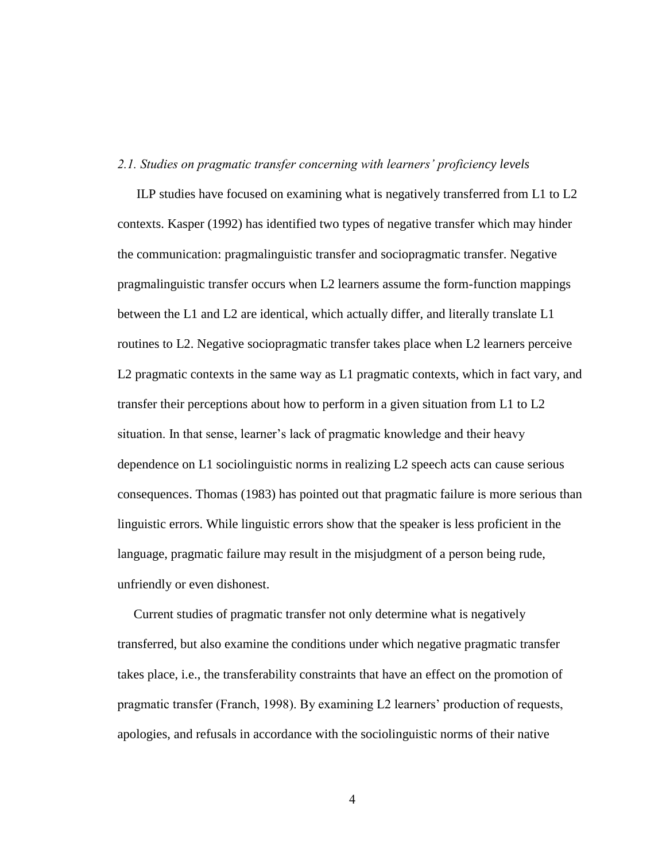#### *2.1. Studies on pragmatic transfer concerning with learners' proficiency levels*

 ILP studies have focused on examining what is negatively transferred from L1 to L2 contexts. Kasper (1992) has identified two types of negative transfer which may hinder the communication: pragmalinguistic transfer and sociopragmatic transfer. Negative pragmalinguistic transfer occurs when L2 learners assume the form-function mappings between the L1 and L2 are identical, which actually differ, and literally translate L1 routines to L2. Negative sociopragmatic transfer takes place when L2 learners perceive L2 pragmatic contexts in the same way as L1 pragmatic contexts, which in fact vary, and transfer their perceptions about how to perform in a given situation from L1 to L2 situation. In that sense, learner's lack of pragmatic knowledge and their heavy dependence on L1 sociolinguistic norms in realizing L2 speech acts can cause serious consequences. Thomas (1983) has pointed out that pragmatic failure is more serious than linguistic errors. While linguistic errors show that the speaker is less proficient in the language, pragmatic failure may result in the misjudgment of a person being rude, unfriendly or even dishonest.

 Current studies of pragmatic transfer not only determine what is negatively transferred, but also examine the conditions under which negative pragmatic transfer takes place, i.e., the transferability constraints that have an effect on the promotion of pragmatic transfer (Franch, 1998). By examining L2 learners' production of requests, apologies, and refusals in accordance with the sociolinguistic norms of their native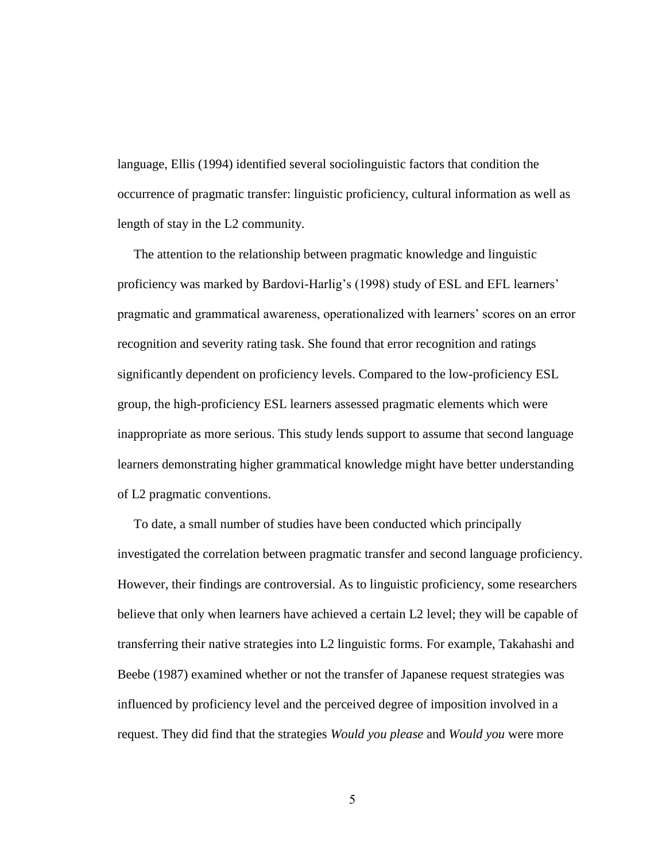language, Ellis (1994) identified several sociolinguistic factors that condition the occurrence of pragmatic transfer: linguistic proficiency, cultural information as well as length of stay in the L2 community.

 The attention to the relationship between pragmatic knowledge and linguistic proficiency was marked by Bardovi-Harlig's (1998) study of ESL and EFL learners' pragmatic and grammatical awareness, operationalized with learners' scores on an error recognition and severity rating task. She found that error recognition and ratings significantly dependent on proficiency levels. Compared to the low-proficiency ESL group, the high-proficiency ESL learners assessed pragmatic elements which were inappropriate as more serious. This study lends support to assume that second language learners demonstrating higher grammatical knowledge might have better understanding of L2 pragmatic conventions.

 To date, a small number of studies have been conducted which principally investigated the correlation between pragmatic transfer and second language proficiency. However, their findings are controversial. As to linguistic proficiency, some researchers believe that only when learners have achieved a certain L2 level; they will be capable of transferring their native strategies into L2 linguistic forms. For example, Takahashi and Beebe (1987) examined whether or not the transfer of Japanese request strategies was influenced by proficiency level and the perceived degree of imposition involved in a request. They did find that the strategies *Would you please* and *Would you* were more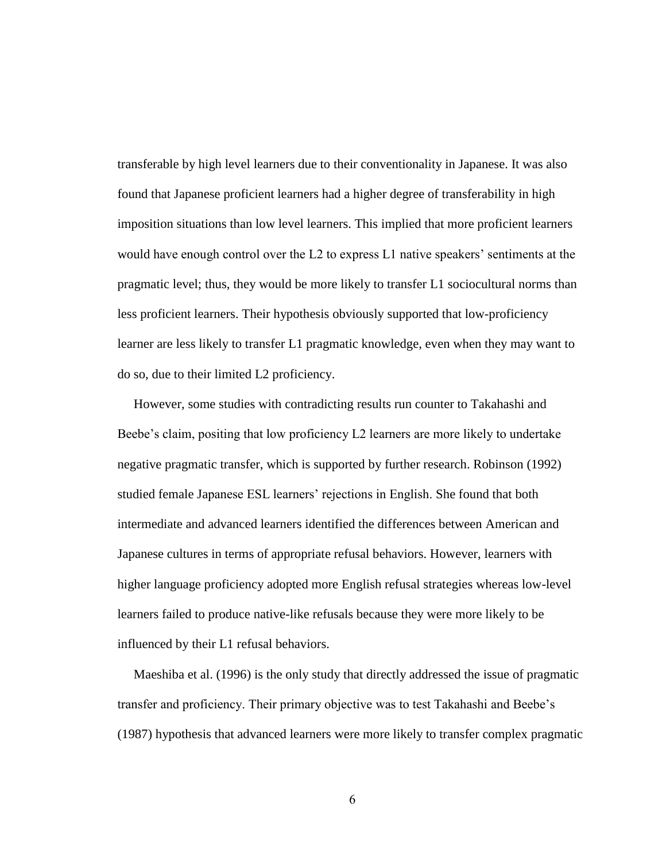transferable by high level learners due to their conventionality in Japanese. It was also found that Japanese proficient learners had a higher degree of transferability in high imposition situations than low level learners. This implied that more proficient learners would have enough control over the L2 to express L1 native speakers' sentiments at the pragmatic level; thus, they would be more likely to transfer L1 sociocultural norms than less proficient learners. Their hypothesis obviously supported that low-proficiency learner are less likely to transfer L1 pragmatic knowledge, even when they may want to do so, due to their limited L2 proficiency.

 However, some studies with contradicting results run counter to Takahashi and Beebe's claim, positing that low proficiency L2 learners are more likely to undertake negative pragmatic transfer, which is supported by further research. Robinson (1992) studied female Japanese ESL learners' rejections in English. She found that both intermediate and advanced learners identified the differences between American and Japanese cultures in terms of appropriate refusal behaviors. However, learners with higher language proficiency adopted more English refusal strategies whereas low-level learners failed to produce native-like refusals because they were more likely to be influenced by their L1 refusal behaviors.

 Maeshiba et al. (1996) is the only study that directly addressed the issue of pragmatic transfer and proficiency. Their primary objective was to test Takahashi and Beebe's (1987) hypothesis that advanced learners were more likely to transfer complex pragmatic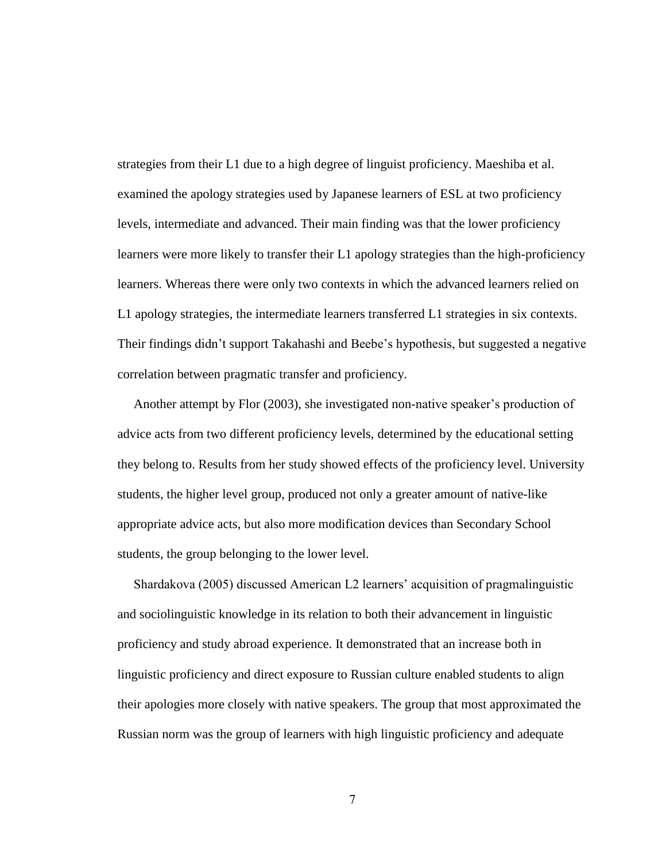strategies from their L1 due to a high degree of linguist proficiency. Maeshiba et al. examined the apology strategies used by Japanese learners of ESL at two proficiency levels, intermediate and advanced. Their main finding was that the lower proficiency learners were more likely to transfer their L1 apology strategies than the high-proficiency learners. Whereas there were only two contexts in which the advanced learners relied on L1 apology strategies, the intermediate learners transferred L1 strategies in six contexts. Their findings didn't support Takahashi and Beebe's hypothesis, but suggested a negative correlation between pragmatic transfer and proficiency.

 Another attempt by Flor (2003), she investigated non-native speaker's production of advice acts from two different proficiency levels, determined by the educational setting they belong to. Results from her study showed effects of the proficiency level. University students, the higher level group, produced not only a greater amount of native-like appropriate advice acts, but also more modification devices than Secondary School students, the group belonging to the lower level.

 Shardakova (2005) discussed American L2 learners' acquisition of pragmalinguistic and sociolinguistic knowledge in its relation to both their advancement in linguistic proficiency and study abroad experience. It demonstrated that an increase both in linguistic proficiency and direct exposure to Russian culture enabled students to align their apologies more closely with native speakers. The group that most approximated the Russian norm was the group of learners with high linguistic proficiency and adequate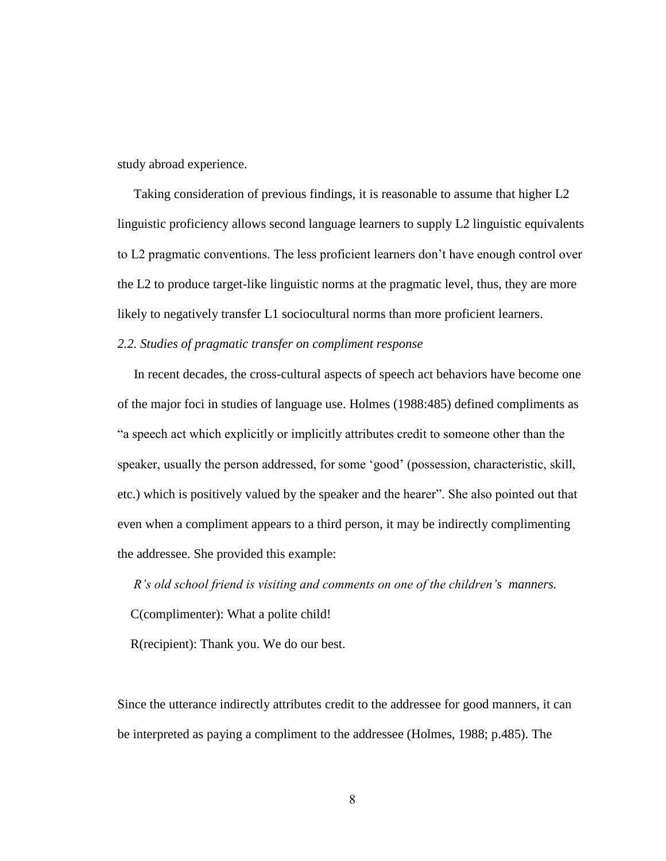study abroad experience.

 Taking consideration of previous findings, it is reasonable to assume that higher L2 linguistic proficiency allows second language learners to supply L2 linguistic equivalents to L2 pragmatic conventions. The less proficient learners don't have enough control over the L2 to produce target-like linguistic norms at the pragmatic level, thus, they are more likely to negatively transfer L1 sociocultural norms than more proficient learners.

#### *2.2. Studies of pragmatic transfer on compliment response*

 In recent decades, the cross-cultural aspects of speech act behaviors have become one of the major foci in studies of language use. Holmes (1988:485) defined compliments as ―a speech act which explicitly or implicitly attributes credit to someone other than the speaker, usually the person addressed, for some 'good' (possession, characteristic, skill, etc.) which is positively valued by the speaker and the hearer". She also pointed out that even when a compliment appears to a third person, it may be indirectly complimenting the addressee. She provided this example:

 *R's old school friend is visiting and comments on one of the children's manners.* C(complimenter): What a polite child!

R(recipient): Thank you. We do our best.

Since the utterance indirectly attributes credit to the addressee for good manners, it can be interpreted as paying a compliment to the addressee (Holmes, 1988; p.485). The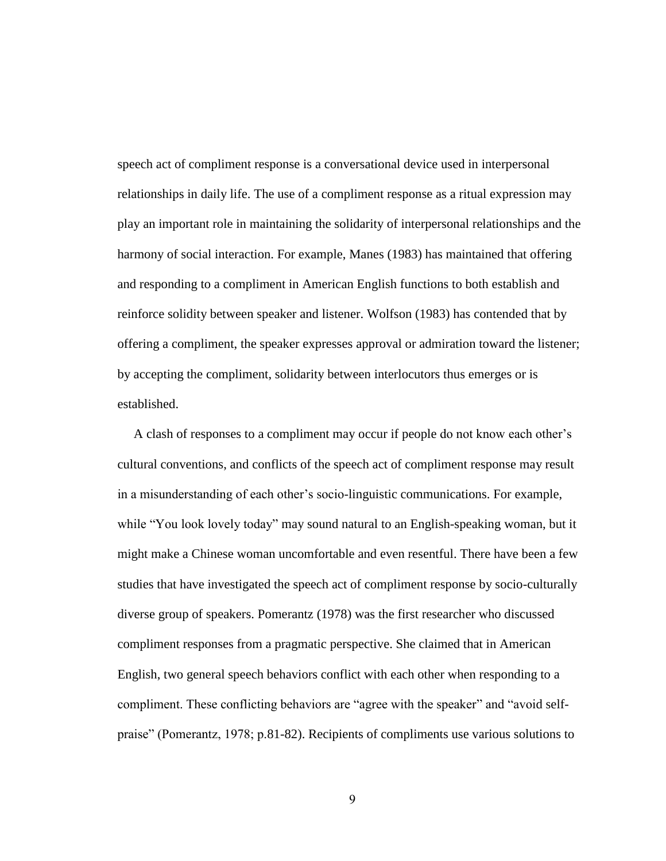speech act of compliment response is a conversational device used in interpersonal relationships in daily life. The use of a compliment response as a ritual expression may play an important role in maintaining the solidarity of interpersonal relationships and the harmony of social interaction. For example, Manes (1983) has maintained that offering and responding to a compliment in American English functions to both establish and reinforce solidity between speaker and listener. Wolfson (1983) has contended that by offering a compliment, the speaker expresses approval or admiration toward the listener; by accepting the compliment, solidarity between interlocutors thus emerges or is established.

 A clash of responses to a compliment may occur if people do not know each other's cultural conventions, and conflicts of the speech act of compliment response may result in a misunderstanding of each other's socio-linguistic communications. For example, while "You look lovely today" may sound natural to an English-speaking woman, but it might make a Chinese woman uncomfortable and even resentful. There have been a few studies that have investigated the speech act of compliment response by socio-culturally diverse group of speakers. Pomerantz (1978) was the first researcher who discussed compliment responses from a pragmatic perspective. She claimed that in American English, two general speech behaviors conflict with each other when responding to a compliment. These conflicting behaviors are "agree with the speaker" and "avoid selfpraise" (Pomerantz, 1978; p.81-82). Recipients of compliments use various solutions to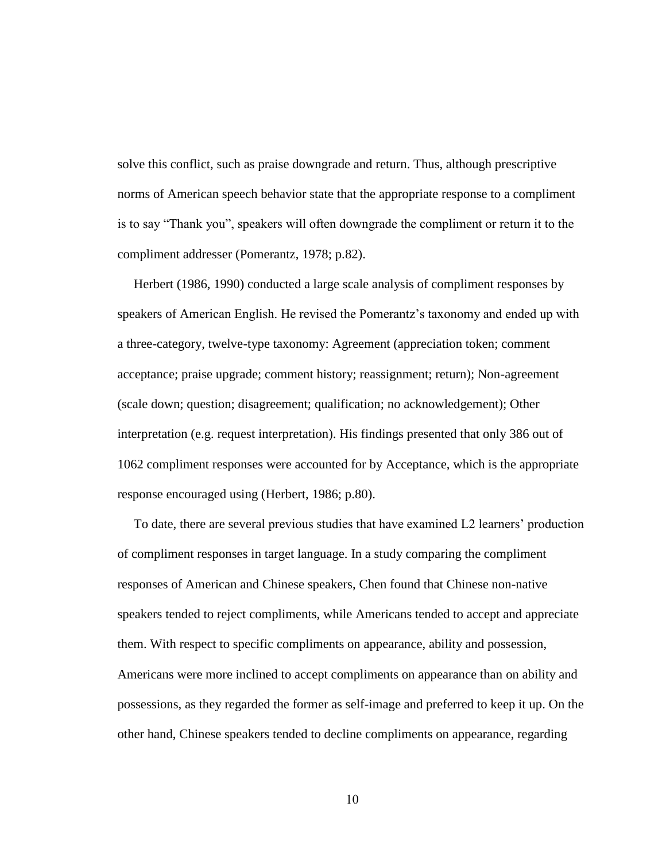solve this conflict, such as praise downgrade and return. Thus, although prescriptive norms of American speech behavior state that the appropriate response to a compliment is to say "Thank you", speakers will often downgrade the compliment or return it to the compliment addresser (Pomerantz, 1978; p.82).

 Herbert (1986, 1990) conducted a large scale analysis of compliment responses by speakers of American English. He revised the Pomerantz's taxonomy and ended up with a three-category, twelve-type taxonomy: Agreement (appreciation token; comment acceptance; praise upgrade; comment history; reassignment; return); Non-agreement (scale down; question; disagreement; qualification; no acknowledgement); Other interpretation (e.g. request interpretation). His findings presented that only 386 out of 1062 compliment responses were accounted for by Acceptance, which is the appropriate response encouraged using (Herbert, 1986; p.80).

 To date, there are several previous studies that have examined L2 learners' production of compliment responses in target language. In a study comparing the compliment responses of American and Chinese speakers, Chen found that Chinese non-native speakers tended to reject compliments, while Americans tended to accept and appreciate them. With respect to specific compliments on appearance, ability and possession, Americans were more inclined to accept compliments on appearance than on ability and possessions, as they regarded the former as self-image and preferred to keep it up. On the other hand, Chinese speakers tended to decline compliments on appearance, regarding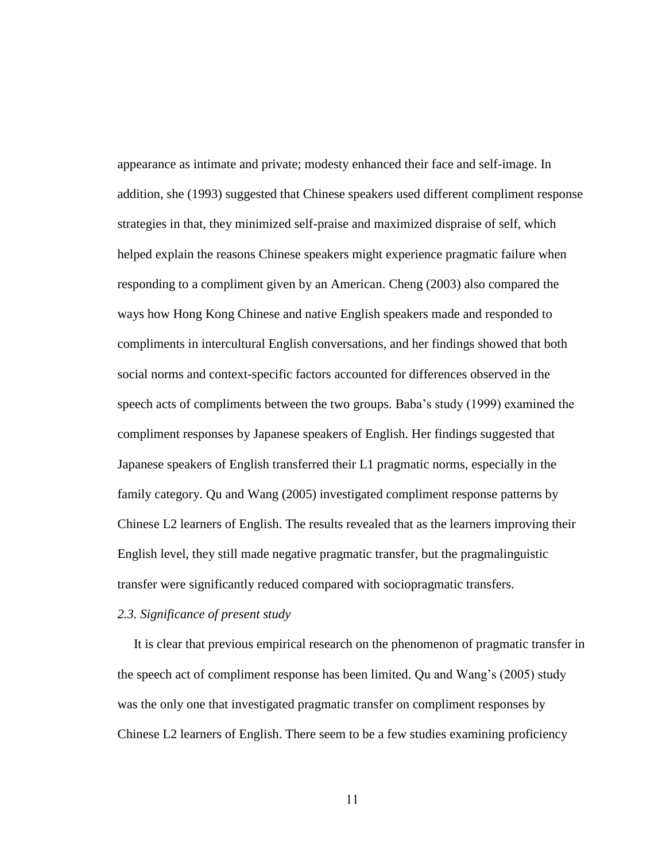appearance as intimate and private; modesty enhanced their face and self-image. In addition, she (1993) suggested that Chinese speakers used different compliment response strategies in that, they minimized self-praise and maximized dispraise of self, which helped explain the reasons Chinese speakers might experience pragmatic failure when responding to a compliment given by an American. Cheng (2003) also compared the ways how Hong Kong Chinese and native English speakers made and responded to compliments in intercultural English conversations, and her findings showed that both social norms and context-specific factors accounted for differences observed in the speech acts of compliments between the two groups. Baba's study (1999) examined the compliment responses by Japanese speakers of English. Her findings suggested that Japanese speakers of English transferred their L1 pragmatic norms, especially in the family category. Qu and Wang (2005) investigated compliment response patterns by Chinese L2 learners of English. The results revealed that as the learners improving their English level, they still made negative pragmatic transfer, but the pragmalinguistic transfer were significantly reduced compared with sociopragmatic transfers.

#### *2.3. Significance of present study*

 It is clear that previous empirical research on the phenomenon of pragmatic transfer in the speech act of compliment response has been limited. Qu and Wang's (2005) study was the only one that investigated pragmatic transfer on compliment responses by Chinese L2 learners of English. There seem to be a few studies examining proficiency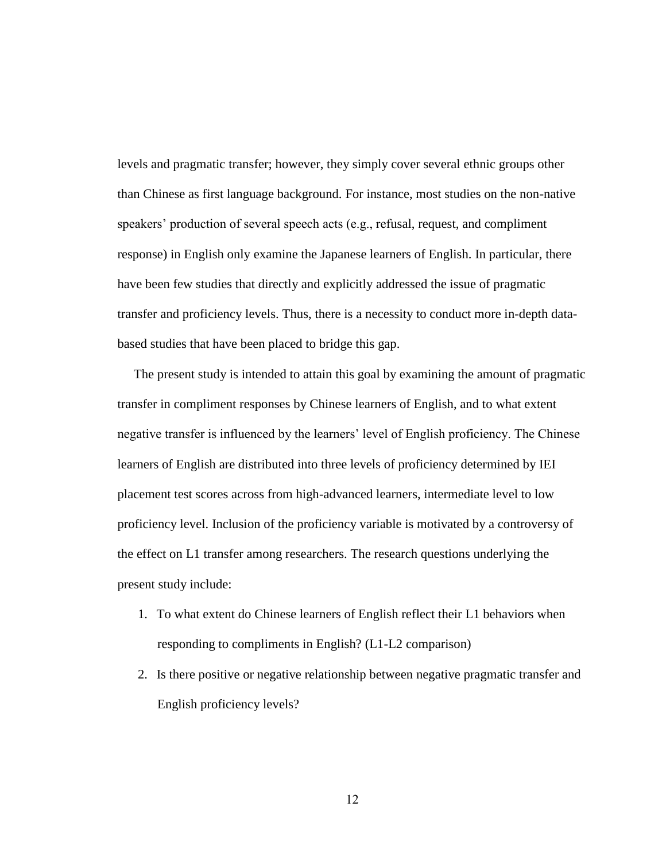levels and pragmatic transfer; however, they simply cover several ethnic groups other than Chinese as first language background. For instance, most studies on the non-native speakers' production of several speech acts (e.g., refusal, request, and compliment response) in English only examine the Japanese learners of English. In particular, there have been few studies that directly and explicitly addressed the issue of pragmatic transfer and proficiency levels. Thus, there is a necessity to conduct more in-depth databased studies that have been placed to bridge this gap.

 The present study is intended to attain this goal by examining the amount of pragmatic transfer in compliment responses by Chinese learners of English, and to what extent negative transfer is influenced by the learners' level of English proficiency. The Chinese learners of English are distributed into three levels of proficiency determined by IEI placement test scores across from high-advanced learners, intermediate level to low proficiency level. Inclusion of the proficiency variable is motivated by a controversy of the effect on L1 transfer among researchers. The research questions underlying the present study include:

- 1. To what extent do Chinese learners of English reflect their L1 behaviors when responding to compliments in English? (L1-L2 comparison)
- 2. Is there positive or negative relationship between negative pragmatic transfer and English proficiency levels?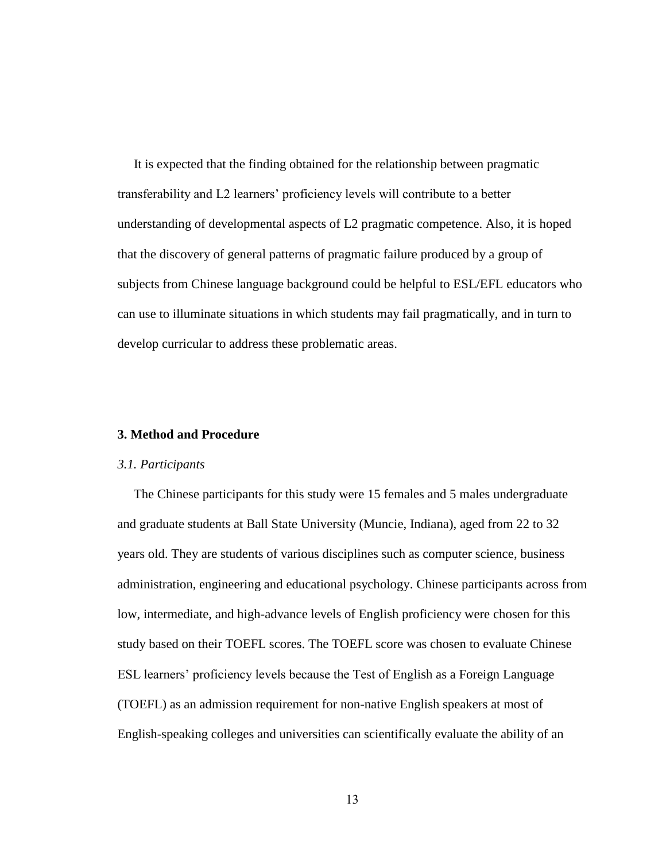It is expected that the finding obtained for the relationship between pragmatic transferability and L2 learners' proficiency levels will contribute to a better understanding of developmental aspects of L2 pragmatic competence. Also, it is hoped that the discovery of general patterns of pragmatic failure produced by a group of subjects from Chinese language background could be helpful to ESL/EFL educators who can use to illuminate situations in which students may fail pragmatically, and in turn to develop curricular to address these problematic areas.

#### **3. Method and Procedure**

#### *3.1. Participants*

 The Chinese participants for this study were 15 females and 5 males undergraduate and graduate students at Ball State University (Muncie, Indiana), aged from 22 to 32 years old. They are students of various disciplines such as computer science, business administration, engineering and educational psychology. Chinese participants across from low, intermediate, and high-advance levels of English proficiency were chosen for this study based on their TOEFL scores. The TOEFL score was chosen to evaluate Chinese ESL learners' proficiency levels because the Test of English as a Foreign Language (TOEFL) as an admission requirement for non-native English speakers at most of English-speaking colleges and universities can scientifically evaluate the ability of an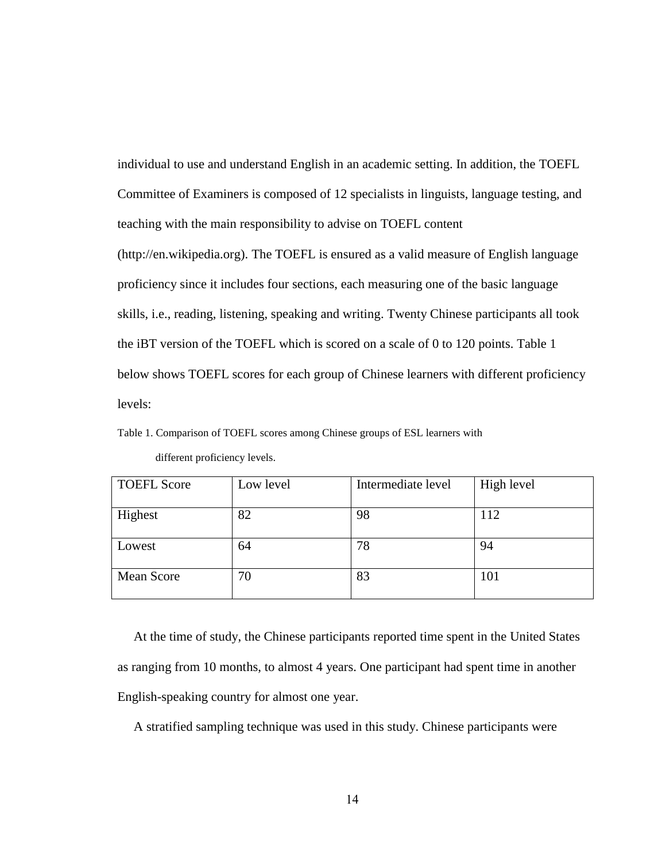individual to use and understand English in an academic setting. In addition, the TOEFL Committee of Examiners is composed of 12 specialists in linguists, language testing, and teaching with the main responsibility to advise on TOEFL content (http://en.wikipedia.org). The TOEFL is ensured as a valid measure of English language proficiency since it includes four sections, each measuring one of the basic language skills, i.e., reading, listening, speaking and writing. Twenty Chinese participants all took the iBT version of the TOEFL which is scored on a scale of 0 to 120 points. Table 1 below shows TOEFL scores for each group of Chinese learners with different proficiency levels:

Table 1. Comparison of TOEFL scores among Chinese groups of ESL learners with different proficiency levels.

| <b>TOEFL Score</b> | Low level | Intermediate level | High level |
|--------------------|-----------|--------------------|------------|
| Highest            | 82        | 98                 | 112        |
| Lowest             | 64        | 78                 | 94         |
| <b>Mean Score</b>  | 70        | 83                 | 101        |

 At the time of study, the Chinese participants reported time spent in the United States as ranging from 10 months, to almost 4 years. One participant had spent time in another English-speaking country for almost one year.

A stratified sampling technique was used in this study. Chinese participants were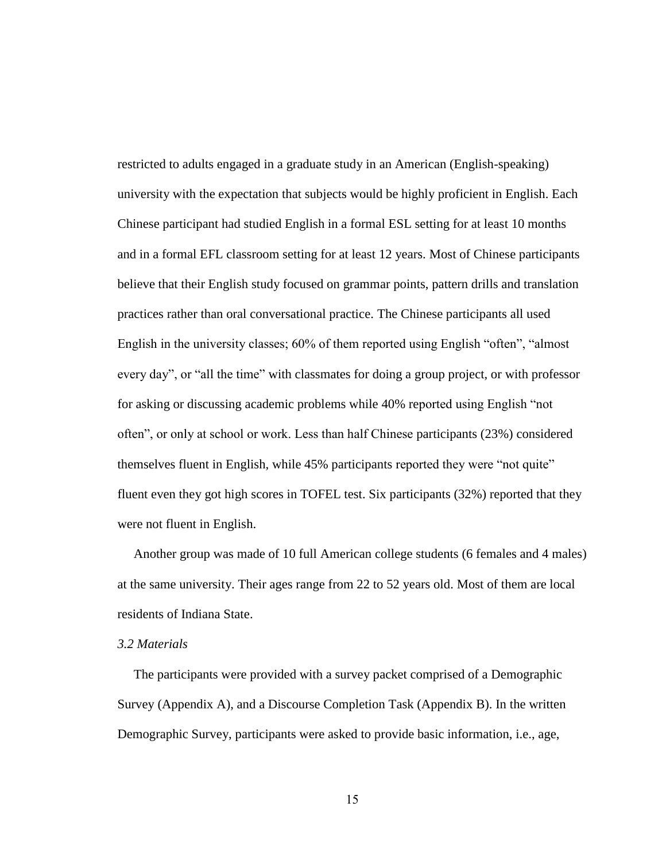restricted to adults engaged in a graduate study in an American (English-speaking) university with the expectation that subjects would be highly proficient in English. Each Chinese participant had studied English in a formal ESL setting for at least 10 months and in a formal EFL classroom setting for at least 12 years. Most of Chinese participants believe that their English study focused on grammar points, pattern drills and translation practices rather than oral conversational practice. The Chinese participants all used English in the university classes; 60% of them reported using English "often", "almost every day", or "all the time" with classmates for doing a group project, or with professor for asking or discussing academic problems while 40% reported using English "not often‖, or only at school or work. Less than half Chinese participants (23%) considered themselves fluent in English, while 45% participants reported they were "not quite" fluent even they got high scores in TOFEL test. Six participants (32%) reported that they were not fluent in English.

 Another group was made of 10 full American college students (6 females and 4 males) at the same university. Their ages range from 22 to 52 years old. Most of them are local residents of Indiana State.

#### *3.2 Materials*

 The participants were provided with a survey packet comprised of a Demographic Survey (Appendix A), and a Discourse Completion Task (Appendix B). In the written Demographic Survey, participants were asked to provide basic information, i.e., age,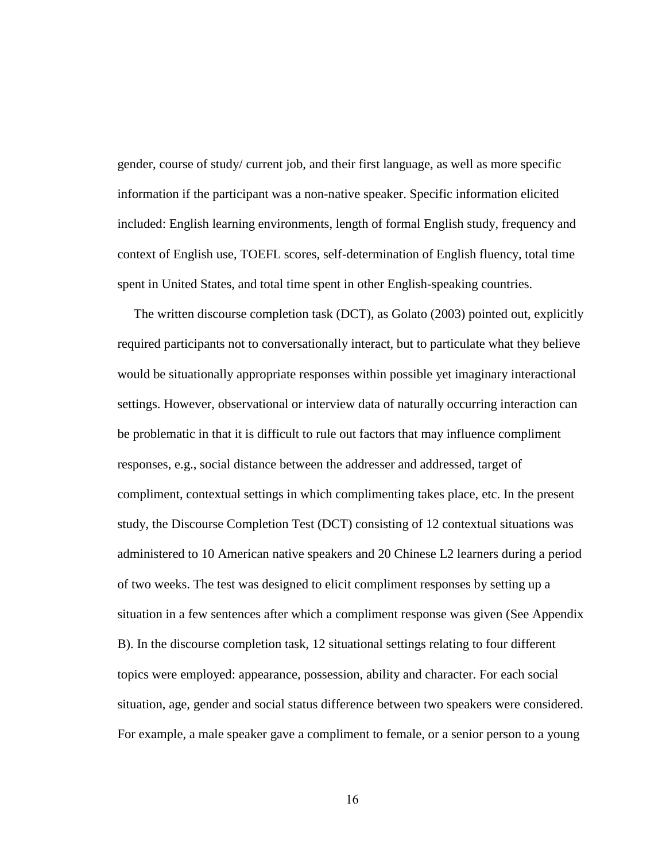gender, course of study/ current job, and their first language, as well as more specific information if the participant was a non-native speaker. Specific information elicited included: English learning environments, length of formal English study, frequency and context of English use, TOEFL scores, self-determination of English fluency, total time spent in United States, and total time spent in other English-speaking countries.

 The written discourse completion task (DCT), as Golato (2003) pointed out, explicitly required participants not to conversationally interact, but to particulate what they believe would be situationally appropriate responses within possible yet imaginary interactional settings. However, observational or interview data of naturally occurring interaction can be problematic in that it is difficult to rule out factors that may influence compliment responses, e.g., social distance between the addresser and addressed, target of compliment, contextual settings in which complimenting takes place, etc. In the present study, the Discourse Completion Test (DCT) consisting of 12 contextual situations was administered to 10 American native speakers and 20 Chinese L2 learners during a period of two weeks. The test was designed to elicit compliment responses by setting up a situation in a few sentences after which a compliment response was given (See Appendix B). In the discourse completion task, 12 situational settings relating to four different topics were employed: appearance, possession, ability and character. For each social situation, age, gender and social status difference between two speakers were considered. For example, a male speaker gave a compliment to female, or a senior person to a young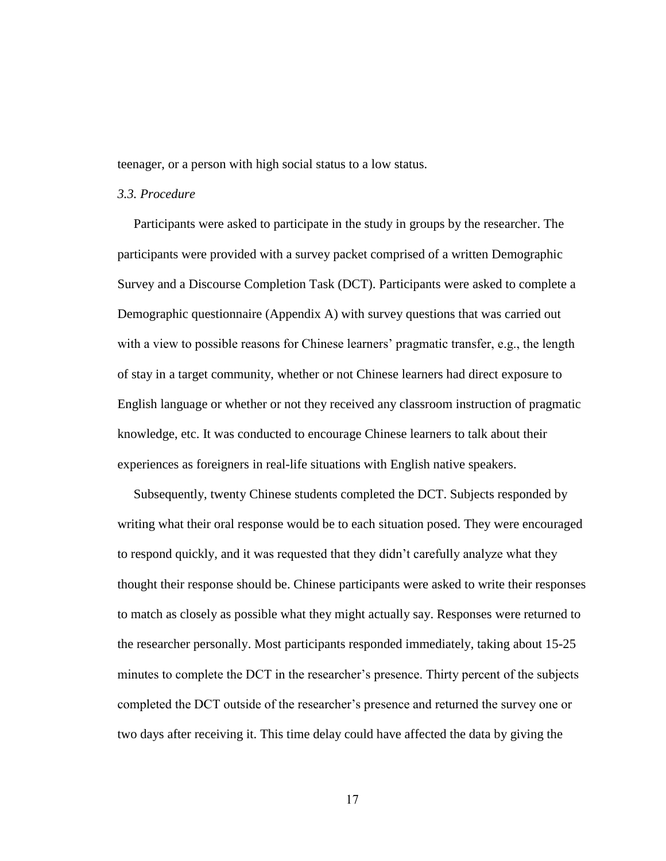teenager, or a person with high social status to a low status.

#### *3.3. Procedure*

 Participants were asked to participate in the study in groups by the researcher. The participants were provided with a survey packet comprised of a written Demographic Survey and a Discourse Completion Task (DCT). Participants were asked to complete a Demographic questionnaire (Appendix A) with survey questions that was carried out with a view to possible reasons for Chinese learners' pragmatic transfer, e.g., the length of stay in a target community, whether or not Chinese learners had direct exposure to English language or whether or not they received any classroom instruction of pragmatic knowledge, etc. It was conducted to encourage Chinese learners to talk about their experiences as foreigners in real-life situations with English native speakers.

 Subsequently, twenty Chinese students completed the DCT. Subjects responded by writing what their oral response would be to each situation posed. They were encouraged to respond quickly, and it was requested that they didn't carefully analyze what they thought their response should be. Chinese participants were asked to write their responses to match as closely as possible what they might actually say. Responses were returned to the researcher personally. Most participants responded immediately, taking about 15-25 minutes to complete the DCT in the researcher's presence. Thirty percent of the subjects completed the DCT outside of the researcher's presence and returned the survey one or two days after receiving it. This time delay could have affected the data by giving the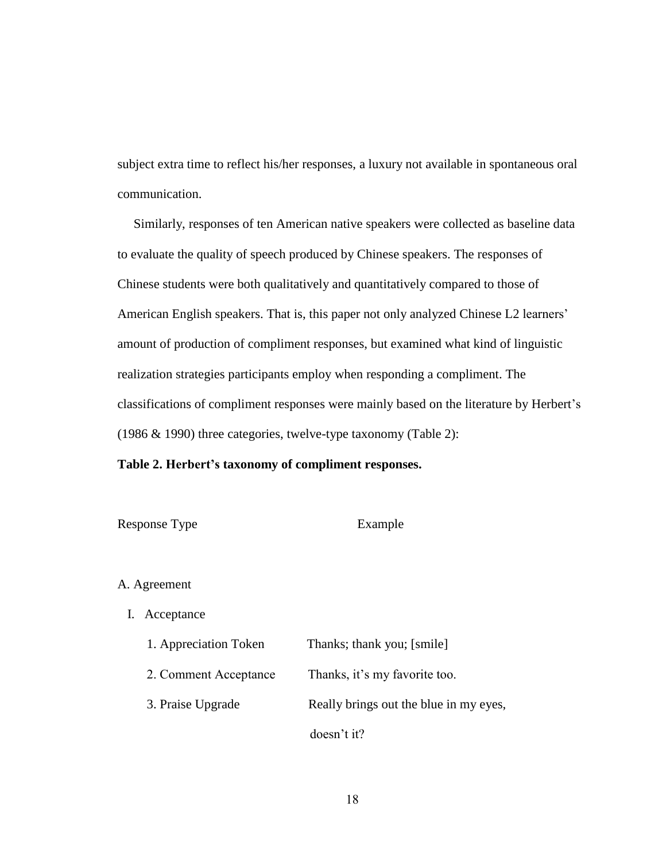subject extra time to reflect his/her responses, a luxury not available in spontaneous oral communication.

 Similarly, responses of ten American native speakers were collected as baseline data to evaluate the quality of speech produced by Chinese speakers. The responses of Chinese students were both qualitatively and quantitatively compared to those of American English speakers. That is, this paper not only analyzed Chinese L2 learners' amount of production of compliment responses, but examined what kind of linguistic realization strategies participants employ when responding a compliment. The classifications of compliment responses were mainly based on the literature by Herbert's (1986 & 1990) three categories, twelve-type taxonomy (Table 2):

### **Table 2. Herbert's taxonomy of compliment responses.**

| Response Type | Example |
|---------------|---------|
|---------------|---------|

#### A. Agreement

I. Acceptance

| 1. Appreciation Token | Thanks; thank you; [smile]             |
|-----------------------|----------------------------------------|
| 2. Comment Acceptance | Thanks, it's my favorite too.          |
| 3. Praise Upgrade     | Really brings out the blue in my eyes, |
|                       | doesn't it?                            |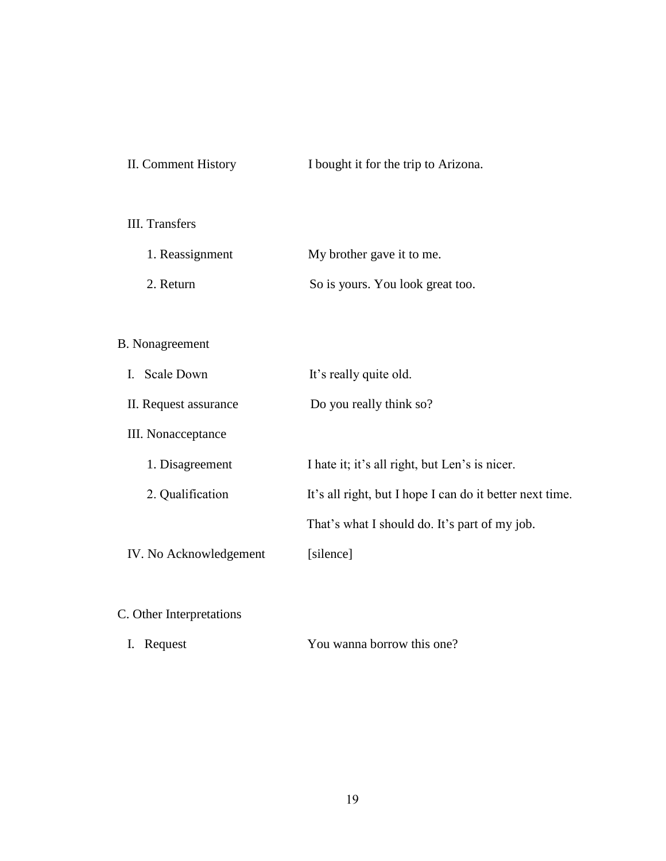| II. Comment History | I bought it for the trip to Arizona. |
|---------------------|--------------------------------------|
|---------------------|--------------------------------------|

# III. Transfers

| 1. Reassignment | My brother gave it to me.        |
|-----------------|----------------------------------|
| 2. Return       | So is yours. You look great too. |

# B. Nonagreement

| <b>Scale Down</b>      | It's really quite old.                                   |
|------------------------|----------------------------------------------------------|
| II. Request assurance  | Do you really think so?                                  |
| III. Nonacceptance     |                                                          |
| 1. Disagreement        | I hate it; it's all right, but Len's is nicer.           |
| 2. Qualification       | It's all right, but I hope I can do it better next time. |
|                        | That's what I should do. It's part of my job.            |
| IV. No Acknowledgement | [silence]                                                |
|                        |                                                          |

# C. Other Interpretations

|  | I. Request | You wanna borrow this one? |
|--|------------|----------------------------|
|--|------------|----------------------------|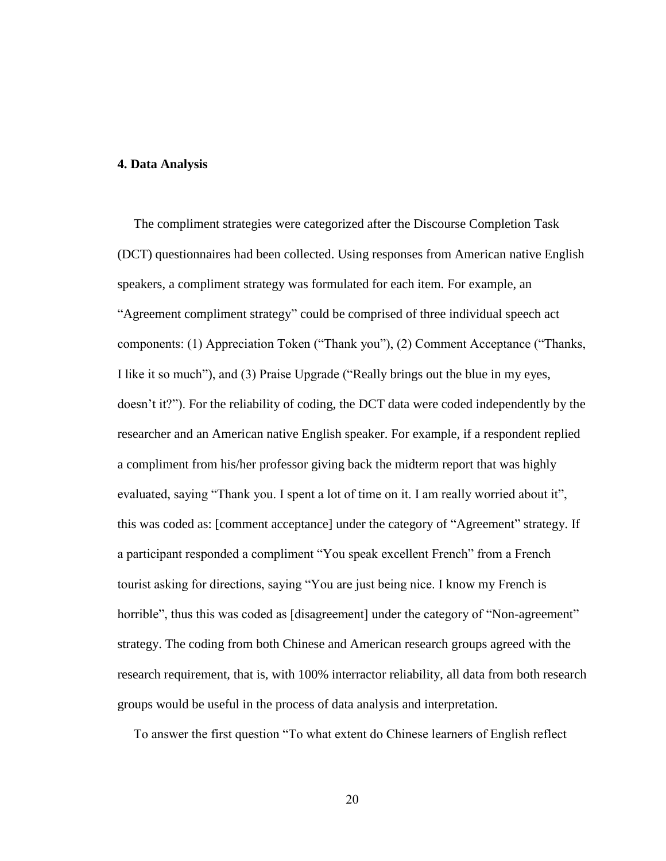#### **4. Data Analysis**

The compliment strategies were categorized after the Discourse Completion Task (DCT) questionnaires had been collected. Using responses from American native English speakers, a compliment strategy was formulated for each item. For example, an "Agreement compliment strategy" could be comprised of three individual speech act components: (1) Appreciation Token ("Thank you"), (2) Comment Acceptance ("Thanks, I like it so much"), and (3) Praise Upgrade ("Really brings out the blue in my eyes, doesn't it?"). For the reliability of coding, the DCT data were coded independently by the researcher and an American native English speaker. For example, if a respondent replied a compliment from his/her professor giving back the midterm report that was highly evaluated, saying "Thank you. I spent a lot of time on it. I am really worried about it", this was coded as: [comment acceptance] under the category of "Agreement" strategy. If a participant responded a compliment "You speak excellent French" from a French tourist asking for directions, saying ―You are just being nice. I know my French is horrible", thus this was coded as [disagreement] under the category of "Non-agreement" strategy. The coding from both Chinese and American research groups agreed with the research requirement, that is, with 100% interractor reliability, all data from both research groups would be useful in the process of data analysis and interpretation.

To answer the first question "To what extent do Chinese learners of English reflect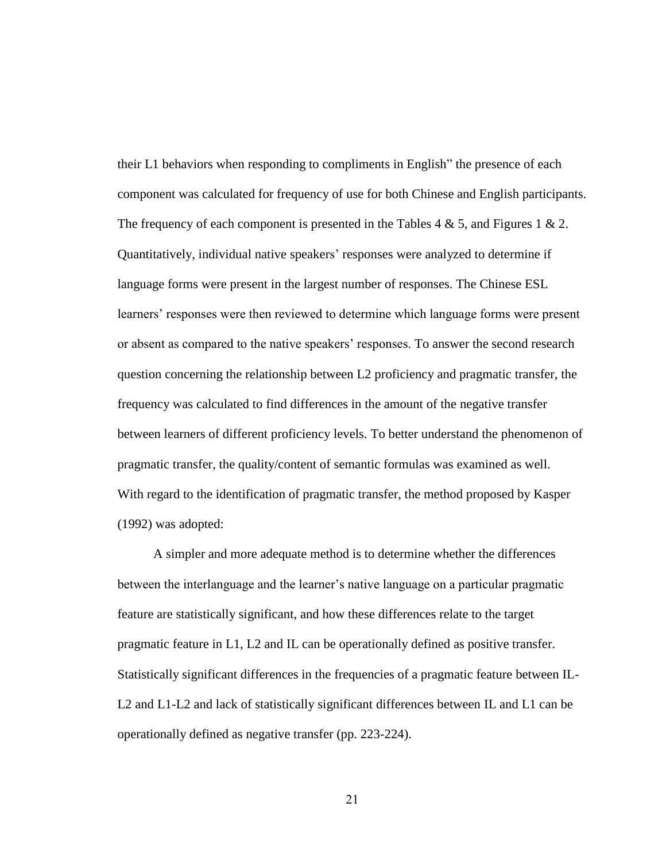their L1 behaviors when responding to compliments in English" the presence of each component was calculated for frequency of use for both Chinese and English participants. The frequency of each component is presented in the Tables 4 & 5, and Figures 1 & 2. Quantitatively, individual native speakers' responses were analyzed to determine if language forms were present in the largest number of responses. The Chinese ESL learners' responses were then reviewed to determine which language forms were present or absent as compared to the native speakers' responses. To answer the second research question concerning the relationship between L2 proficiency and pragmatic transfer, the frequency was calculated to find differences in the amount of the negative transfer between learners of different proficiency levels. To better understand the phenomenon of pragmatic transfer, the quality/content of semantic formulas was examined as well. With regard to the identification of pragmatic transfer, the method proposed by Kasper (1992) was adopted:

 A simpler and more adequate method is to determine whether the differences between the interlanguage and the learner's native language on a particular pragmatic feature are statistically significant, and how these differences relate to the target pragmatic feature in L1, L2 and IL can be operationally defined as positive transfer. Statistically significant differences in the frequencies of a pragmatic feature between IL-L2 and L1-L2 and lack of statistically significant differences between IL and L1 can be operationally defined as negative transfer (pp. 223-224).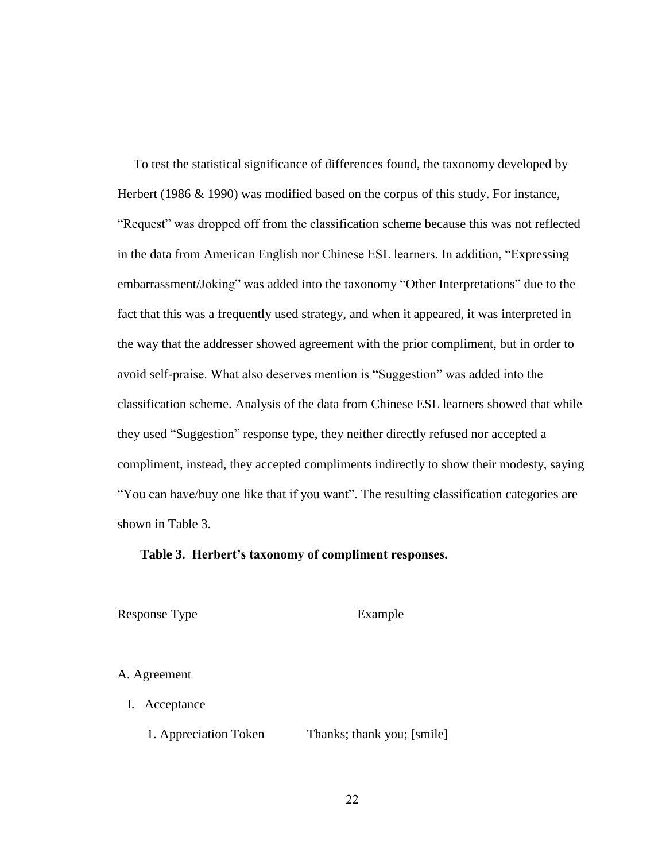To test the statistical significance of differences found, the taxonomy developed by Herbert (1986 & 1990) was modified based on the corpus of this study. For instance, "Request" was dropped off from the classification scheme because this was not reflected in the data from American English nor Chinese ESL learners. In addition, "Expressing" embarrassment/Joking" was added into the taxonomy "Other Interpretations" due to the fact that this was a frequently used strategy, and when it appeared, it was interpreted in the way that the addresser showed agreement with the prior compliment, but in order to avoid self-praise. What also deserves mention is "Suggestion" was added into the classification scheme. Analysis of the data from Chinese ESL learners showed that while they used "Suggestion" response type, they neither directly refused nor accepted a compliment, instead, they accepted compliments indirectly to show their modesty, saying ―You can have/buy one like that if you want‖. The resulting classification categories are shown in Table 3.

#### **Table 3. Herbert's taxonomy of compliment responses.**

Response Type Example

#### A. Agreement

I. Acceptance

1. Appreciation Token Thanks; thank you; [smile]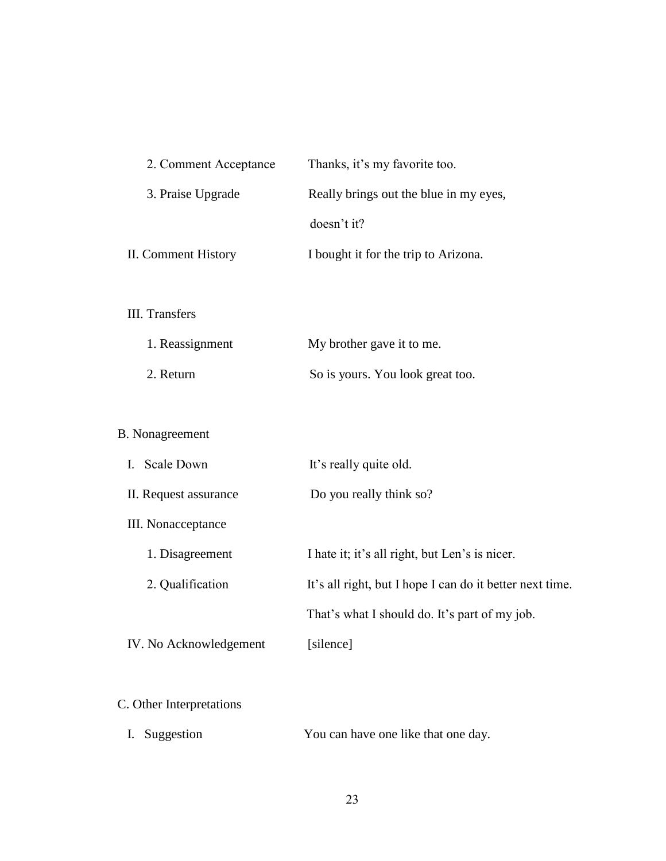| 2. Comment Acceptance    | Thanks, it's my favorite too.                            |
|--------------------------|----------------------------------------------------------|
| 3. Praise Upgrade        | Really brings out the blue in my eyes,                   |
|                          | doesn't it?                                              |
| II. Comment History      | I bought it for the trip to Arizona.                     |
|                          |                                                          |
| <b>III.</b> Transfers    |                                                          |
| 1. Reassignment          | My brother gave it to me.                                |
| 2. Return                | So is yours. You look great too.                         |
|                          |                                                          |
| <b>B.</b> Nonagreement   |                                                          |
| I. Scale Down            | It's really quite old.                                   |
| II. Request assurance    | Do you really think so?                                  |
| III. Nonacceptance       |                                                          |
| 1. Disagreement          | I hate it; it's all right, but Len's is nicer.           |
| 2. Qualification         | It's all right, but I hope I can do it better next time. |
|                          | That's what I should do. It's part of my job.            |
| IV. No Acknowledgement   | [silence]                                                |
|                          |                                                          |
| C. Other Interpretations |                                                          |

# I. Suggestion You can have one like that one day.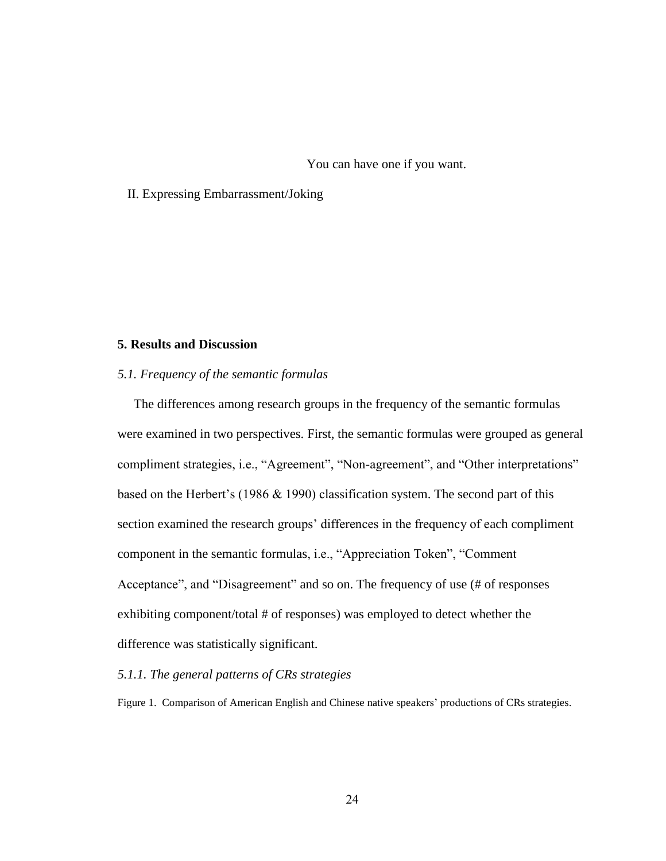You can have one if you want.

#### II. Expressing Embarrassment/Joking

#### **5. Results and Discussion**

#### *5.1. Frequency of the semantic formulas*

 The differences among research groups in the frequency of the semantic formulas were examined in two perspectives. First, the semantic formulas were grouped as general compliment strategies, i.e., "Agreement", "Non-agreement", and "Other interpretations" based on the Herbert's (1986 & 1990) classification system. The second part of this section examined the research groups' differences in the frequency of each compliment component in the semantic formulas, i.e., "Appreciation Token", "Comment Acceptance", and "Disagreement" and so on. The frequency of use (# of responses exhibiting component/total # of responses) was employed to detect whether the difference was statistically significant.

#### *5.1.1. The general patterns of CRs strategies*

Figure 1. Comparison of American English and Chinese native speakers' productions of CRs strategies.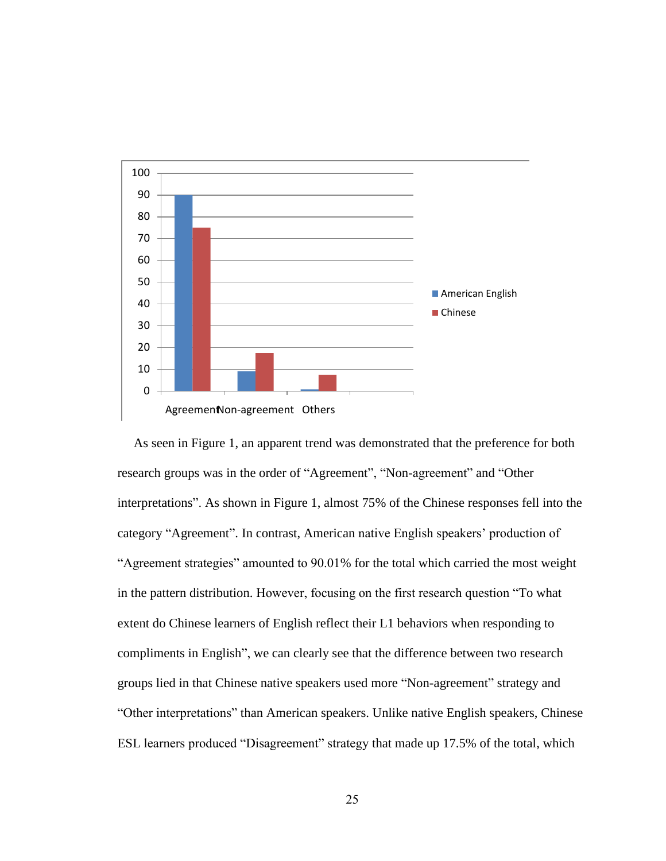

 As seen in Figure 1, an apparent trend was demonstrated that the preference for both research groups was in the order of "Agreement", "Non-agreement" and "Other interpretations". As shown in Figure 1, almost 75% of the Chinese responses fell into the category "Agreement". In contrast, American native English speakers' production of "Agreement strategies" amounted to 90.01% for the total which carried the most weight in the pattern distribution. However, focusing on the first research question "To what extent do Chinese learners of English reflect their L1 behaviors when responding to compliments in English", we can clearly see that the difference between two research groups lied in that Chinese native speakers used more "Non-agreement" strategy and ―Other interpretations‖ than American speakers. Unlike native English speakers, Chinese ESL learners produced "Disagreement" strategy that made up 17.5% of the total, which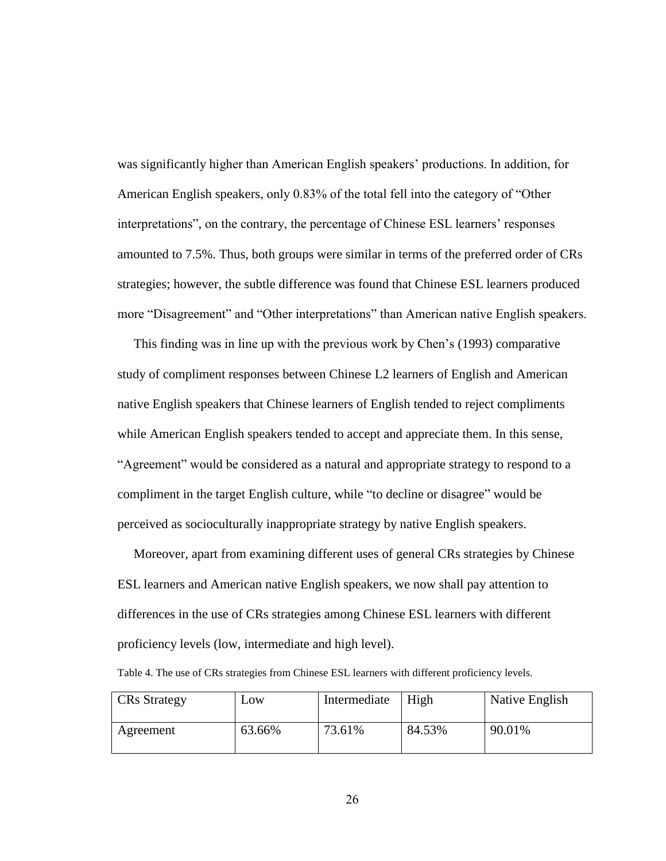was significantly higher than American English speakers' productions. In addition, for American English speakers, only 0.83% of the total fell into the category of "Other interpretations", on the contrary, the percentage of Chinese ESL learners' responses amounted to 7.5%. Thus, both groups were similar in terms of the preferred order of CRs strategies; however, the subtle difference was found that Chinese ESL learners produced more "Disagreement" and "Other interpretations" than American native English speakers.

 This finding was in line up with the previous work by Chen's (1993) comparative study of compliment responses between Chinese L2 learners of English and American native English speakers that Chinese learners of English tended to reject compliments while American English speakers tended to accept and appreciate them. In this sense, "Agreement" would be considered as a natural and appropriate strategy to respond to a compliment in the target English culture, while "to decline or disagree" would be perceived as socioculturally inappropriate strategy by native English speakers.

 Moreover, apart from examining different uses of general CRs strategies by Chinese ESL learners and American native English speakers, we now shall pay attention to differences in the use of CRs strategies among Chinese ESL learners with different proficiency levels (low, intermediate and high level).

Table 4. The use of CRs strategies from Chinese ESL learners with different proficiency levels.

| <b>CRs</b> Strategy | $L$ OW | Intermediate | High   | Native English |
|---------------------|--------|--------------|--------|----------------|
| Agreement           | 63.66% | 73.61%       | 84.53% | 90.01%         |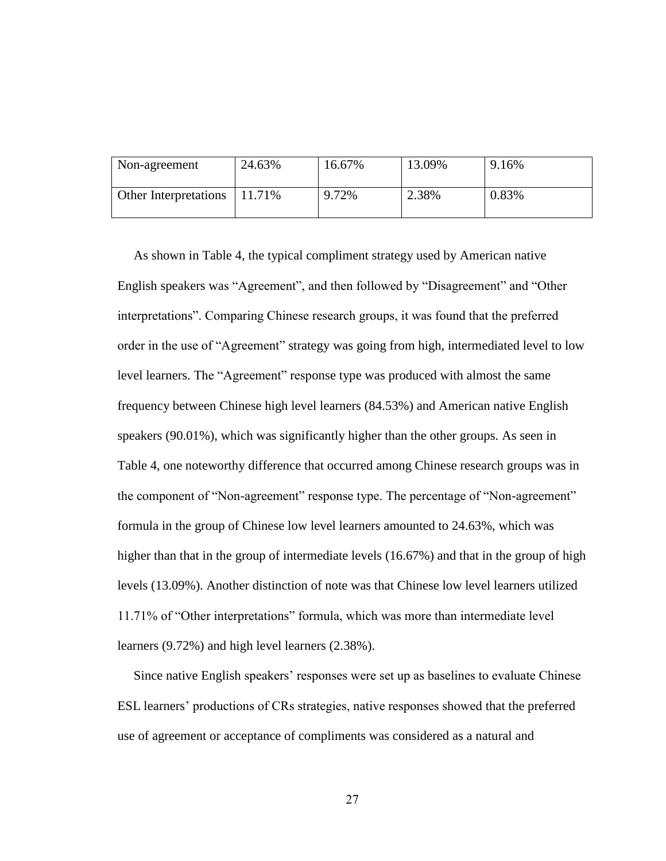| Non-agreement                | 24.63% | 16.67% | 13.09% | 9.16% |
|------------------------------|--------|--------|--------|-------|
| <b>Other Interpretations</b> | 11.71% | 9.72%  | 2.38%  | 0.83% |

 As shown in Table 4, the typical compliment strategy used by American native English speakers was "Agreement", and then followed by "Disagreement" and "Other interpretations". Comparing Chinese research groups, it was found that the preferred order in the use of "Agreement" strategy was going from high, intermediated level to low level learners. The "Agreement" response type was produced with almost the same frequency between Chinese high level learners (84.53%) and American native English speakers (90.01%), which was significantly higher than the other groups. As seen in Table 4, one noteworthy difference that occurred among Chinese research groups was in the component of "Non-agreement" response type. The percentage of "Non-agreement" formula in the group of Chinese low level learners amounted to 24.63%, which was higher than that in the group of intermediate levels (16.67%) and that in the group of high levels (13.09%). Another distinction of note was that Chinese low level learners utilized 11.71% of "Other interpretations" formula, which was more than intermediate level learners (9.72%) and high level learners (2.38%).

 Since native English speakers' responses were set up as baselines to evaluate Chinese ESL learners' productions of CRs strategies, native responses showed that the preferred use of agreement or acceptance of compliments was considered as a natural and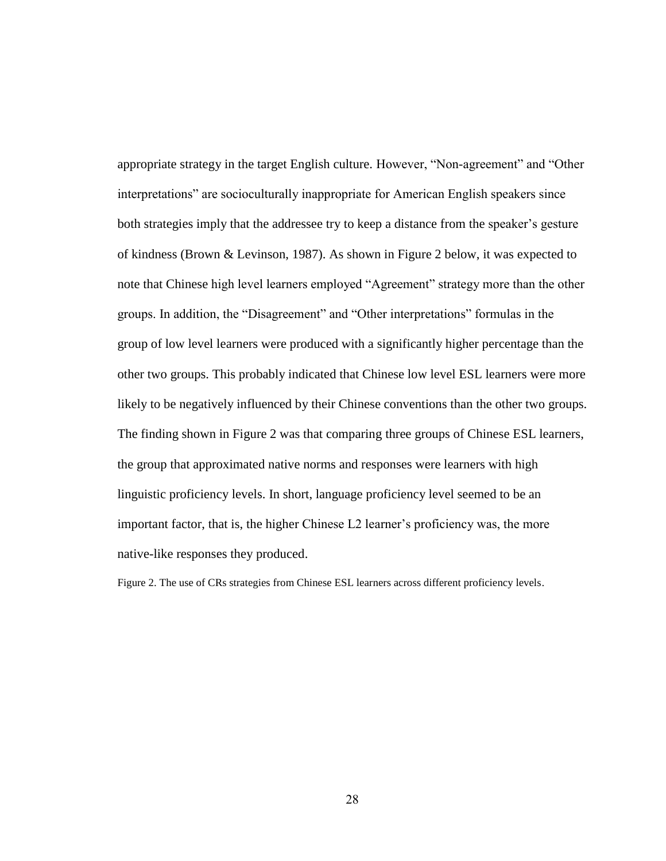appropriate strategy in the target English culture. However, "Non-agreement" and "Other interpretations" are socioculturally inappropriate for American English speakers since both strategies imply that the addressee try to keep a distance from the speaker's gesture of kindness (Brown & Levinson, 1987). As shown in Figure 2 below, it was expected to note that Chinese high level learners employed "Agreement" strategy more than the other groups. In addition, the "Disagreement" and "Other interpretations" formulas in the group of low level learners were produced with a significantly higher percentage than the other two groups. This probably indicated that Chinese low level ESL learners were more likely to be negatively influenced by their Chinese conventions than the other two groups. The finding shown in Figure 2 was that comparing three groups of Chinese ESL learners, the group that approximated native norms and responses were learners with high linguistic proficiency levels. In short, language proficiency level seemed to be an important factor, that is, the higher Chinese L2 learner's proficiency was, the more native-like responses they produced.

Figure 2. The use of CRs strategies from Chinese ESL learners across different proficiency levels.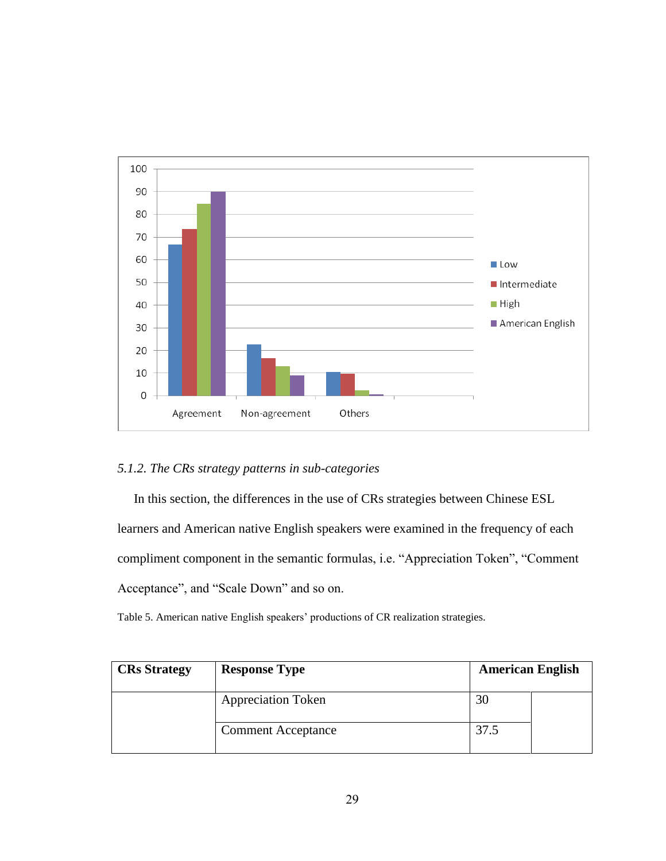

# *5.1.2. The CRs strategy patterns in sub-categories*

In this section, the differences in the use of CRs strategies between Chinese ESL

learners and American native English speakers were examined in the frequency of each compliment component in the semantic formulas, i.e. "Appreciation Token", "Comment Acceptance", and "Scale Down" and so on.

Table 5. American native English speakers' productions of CR realization strategies.

| <b>CRs</b> Strategy | <b>Response Type</b>      | <b>American English</b> |  |
|---------------------|---------------------------|-------------------------|--|
|                     | <b>Appreciation Token</b> | 30                      |  |
|                     | <b>Comment Acceptance</b> | 37.5                    |  |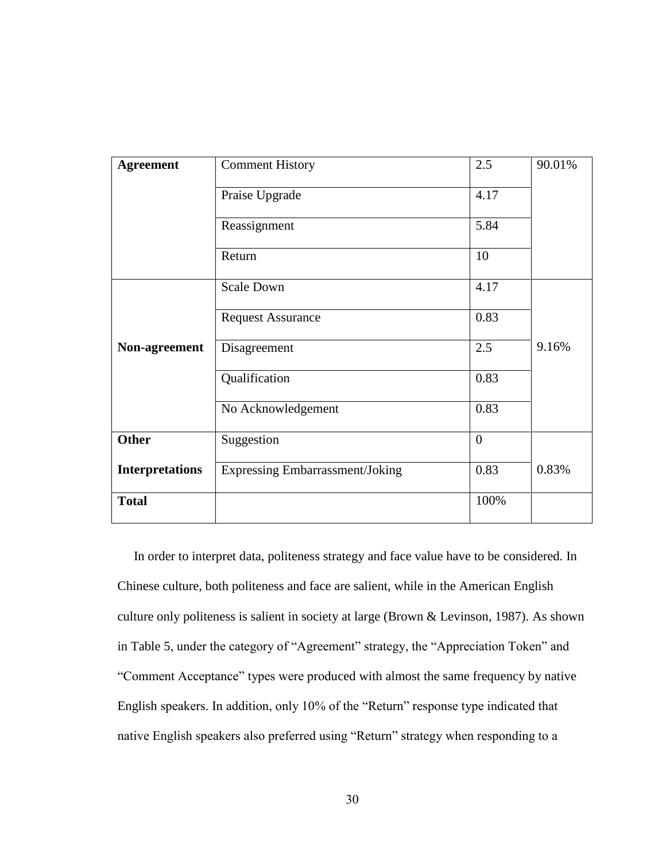| <b>Agreement</b>       | <b>Comment History</b>                 | 2.5            | 90.01% |
|------------------------|----------------------------------------|----------------|--------|
|                        | Praise Upgrade                         | 4.17           |        |
|                        | Reassignment                           | 5.84           |        |
|                        | Return                                 | 10             |        |
|                        | <b>Scale Down</b>                      | 4.17           |        |
|                        | <b>Request Assurance</b>               | 0.83           |        |
| Non-agreement          | Disagreement                           | 2.5            | 9.16%  |
|                        | Qualification                          | 0.83           |        |
|                        | No Acknowledgement                     | 0.83           |        |
| <b>Other</b>           | Suggestion                             | $\overline{0}$ |        |
| <b>Interpretations</b> | <b>Expressing Embarrassment/Joking</b> | 0.83           | 0.83%  |
| <b>Total</b>           |                                        | 100%           |        |

 In order to interpret data, politeness strategy and face value have to be considered. In Chinese culture, both politeness and face are salient, while in the American English culture only politeness is salient in society at large (Brown & Levinson, 1987). As shown in Table 5, under the category of "Agreement" strategy, the "Appreciation Token" and ―Comment Acceptance‖ types were produced with almost the same frequency by native English speakers. In addition, only 10% of the "Return" response type indicated that native English speakers also preferred using "Return" strategy when responding to a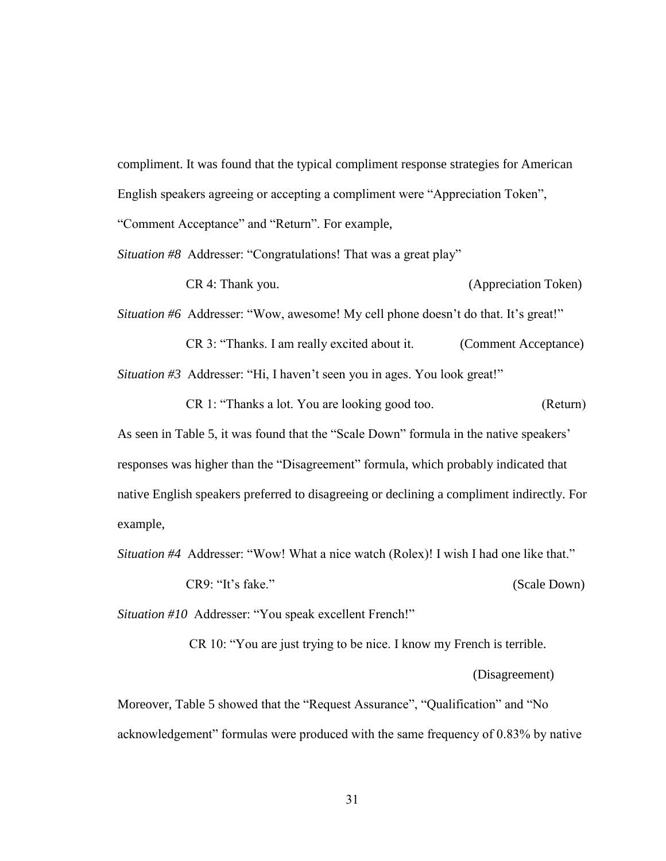compliment. It was found that the typical compliment response strategies for American English speakers agreeing or accepting a compliment were "Appreciation Token", "Comment Acceptance" and "Return". For example,

*Situation #8* Addresser: "Congratulations! That was a great play"

CR 4: Thank you. (Appreciation Token)

*Situation #6* Addresser: "Wow, awesome! My cell phone doesn't do that. It's great!" CR 3: "Thanks. I am really excited about it. (Comment Acceptance)

*Situation #3* Addresser: "Hi, I haven't seen you in ages. You look great!"

CR 1: "Thanks a lot. You are looking good too. (Return)

As seen in Table 5, it was found that the "Scale Down" formula in the native speakers' responses was higher than the "Disagreement" formula, which probably indicated that native English speakers preferred to disagreeing or declining a compliment indirectly. For example,

*Situation #4* Addresser: "Wow! What a nice watch (Rolex)! I wish I had one like that."

CR9: "It's fake." (Scale Down)

*Situation #10* Addresser: "You speak excellent French!"

CR 10: "You are just trying to be nice. I know my French is terrible.

#### (Disagreement)

Moreover, Table 5 showed that the "Request Assurance", "Qualification" and "No acknowledgement" formulas were produced with the same frequency of 0.83% by native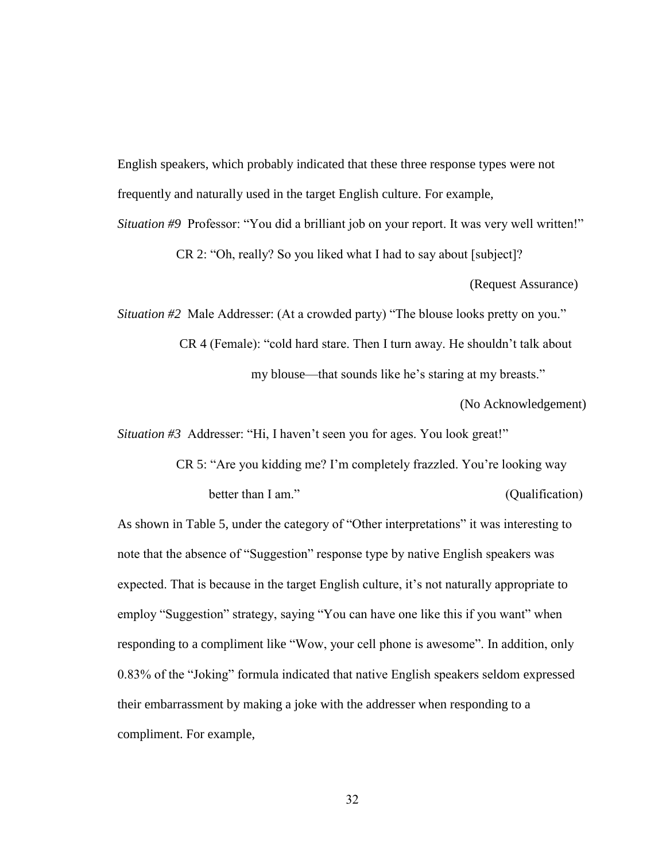English speakers, which probably indicated that these three response types were not frequently and naturally used in the target English culture. For example,

*Situation #9* Professor: "You did a brilliant job on your report. It was very well written!"

CR 2: "Oh, really? So you liked what I had to say about [subject]?

(Request Assurance)

*Situation #2* Male Addresser: (At a crowded party) "The blouse looks pretty on you."

CR 4 (Female): "cold hard stare. Then I turn away. He shouldn't talk about my blouse—that sounds like he's staring at my breasts."

(No Acknowledgement)

*Situation #3* Addresser: "Hi, I haven't seen you for ages. You look great!"

CR 5: "Are you kidding me? I'm completely frazzled. You're looking way better than I am." (Qualification)

As shown in Table 5, under the category of "Other interpretations" it was interesting to note that the absence of "Suggestion" response type by native English speakers was expected. That is because in the target English culture, it's not naturally appropriate to employ "Suggestion" strategy, saying "You can have one like this if you want" when responding to a compliment like "Wow, your cell phone is awesome". In addition, only 0.83% of the "Joking" formula indicated that native English speakers seldom expressed their embarrassment by making a joke with the addresser when responding to a compliment. For example,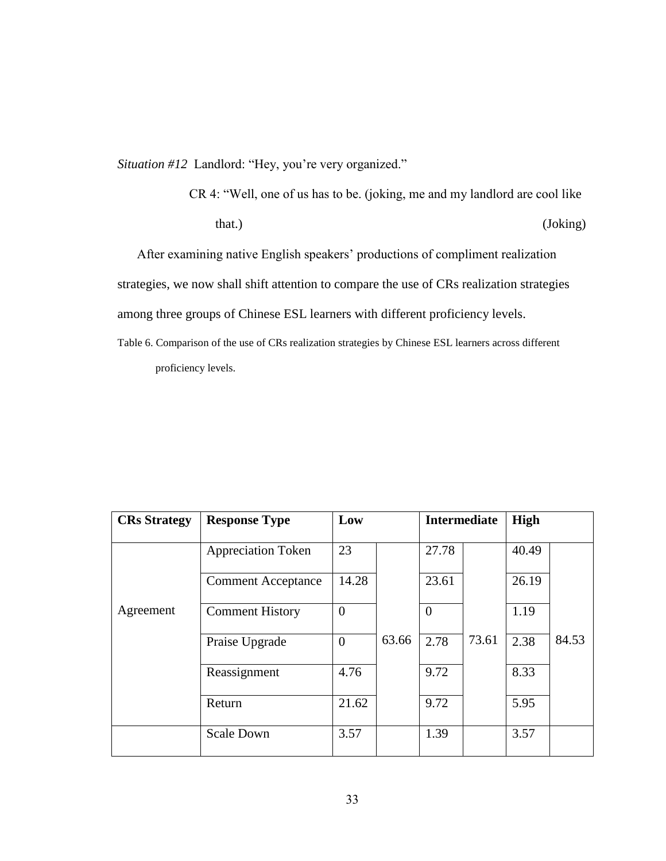*Situation #12* Landlord: "Hey, you're very organized."

CR 4: "Well, one of us has to be. (joking, me and my landlord are cool like that.) (Joking)

 After examining native English speakers' productions of compliment realization strategies, we now shall shift attention to compare the use of CRs realization strategies among three groups of Chinese ESL learners with different proficiency levels.

Table 6. Comparison of the use of CRs realization strategies by Chinese ESL learners across different proficiency levels.

| <b>CRs Strategy</b> | <b>Response Type</b>      | Low            |       | <b>Intermediate</b> |       | <b>High</b> |       |
|---------------------|---------------------------|----------------|-------|---------------------|-------|-------------|-------|
|                     | <b>Appreciation Token</b> | 23             |       | 27.78               |       | 40.49       |       |
|                     | <b>Comment Acceptance</b> | 14.28          |       | 23.61               |       | 26.19       |       |
| Agreement           | <b>Comment History</b>    | $\overline{0}$ |       | $\theta$            |       | 1.19        |       |
|                     | Praise Upgrade            | $\overline{0}$ | 63.66 | 2.78                | 73.61 | 2.38        | 84.53 |
|                     | Reassignment              | 4.76           |       | 9.72                |       | 8.33        |       |
|                     | Return                    | 21.62          |       | 9.72                |       | 5.95        |       |
|                     | <b>Scale Down</b>         | 3.57           |       | 1.39                |       | 3.57        |       |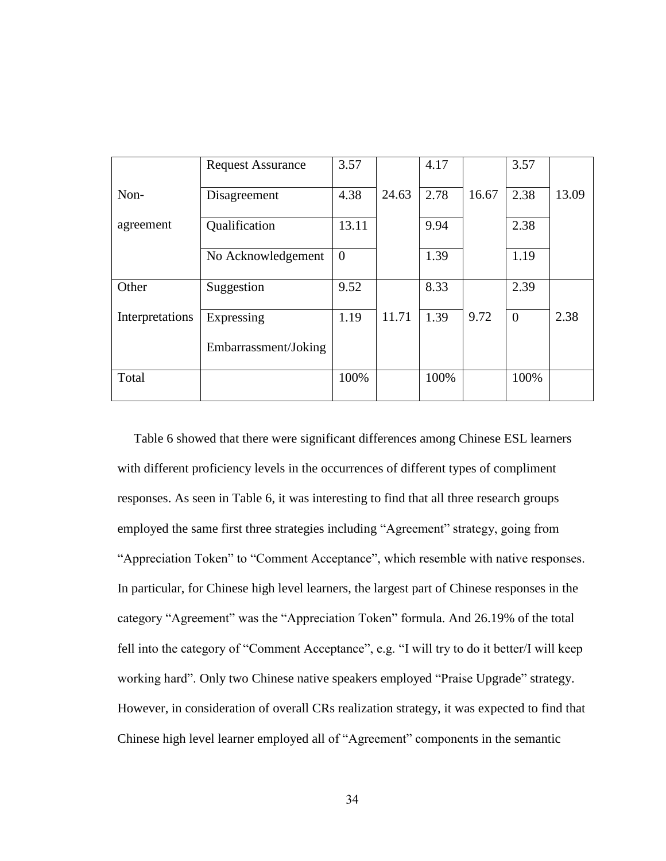|                 | <b>Request Assurance</b> | 3.57     |       | 4.17 |       | 3.57           |       |
|-----------------|--------------------------|----------|-------|------|-------|----------------|-------|
| Non-            | Disagreement             | 4.38     | 24.63 | 2.78 | 16.67 | 2.38           | 13.09 |
| agreement       | Qualification            | 13.11    |       | 9.94 |       | 2.38           |       |
|                 | No Acknowledgement       | $\theta$ |       | 1.39 |       | 1.19           |       |
| Other           | Suggestion               | 9.52     |       | 8.33 |       | 2.39           |       |
| Interpretations | Expressing               | 1.19     | 11.71 | 1.39 | 9.72  | $\overline{0}$ | 2.38  |
|                 | Embarrassment/Joking     |          |       |      |       |                |       |
| Total           |                          | 100%     |       | 100% |       | 100%           |       |

 Table 6 showed that there were significant differences among Chinese ESL learners with different proficiency levels in the occurrences of different types of compliment responses. As seen in Table 6, it was interesting to find that all three research groups employed the same first three strategies including "Agreement" strategy, going from "Appreciation Token" to "Comment Acceptance", which resemble with native responses. In particular, for Chinese high level learners, the largest part of Chinese responses in the category "Agreement" was the "Appreciation Token" formula. And 26.19% of the total fell into the category of "Comment Acceptance", e.g. "I will try to do it better/I will keep working hard". Only two Chinese native speakers employed "Praise Upgrade" strategy. However, in consideration of overall CRs realization strategy, it was expected to find that Chinese high level learner employed all of "Agreement" components in the semantic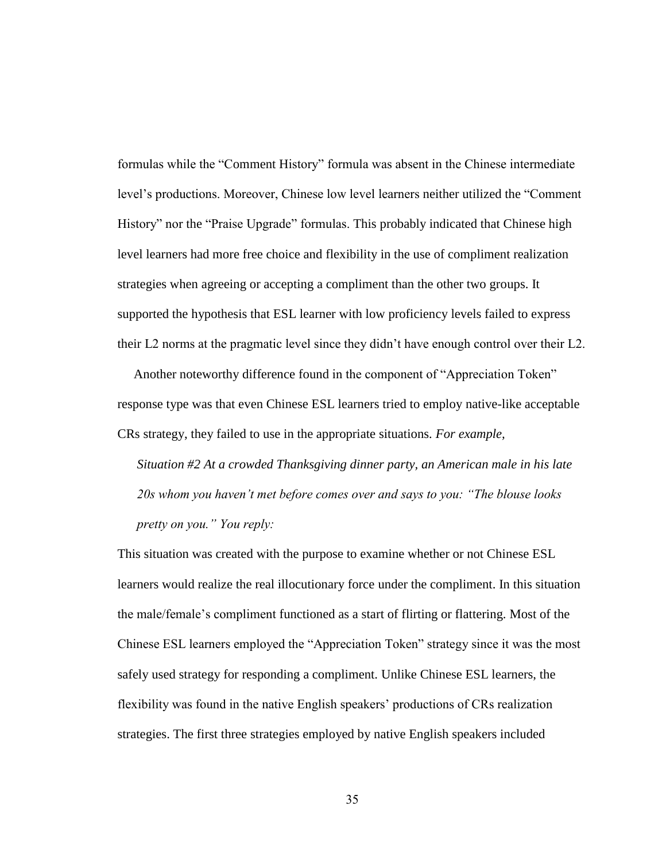formulas while the "Comment History" formula was absent in the Chinese intermediate level's productions. Moreover, Chinese low level learners neither utilized the "Comment" History" nor the "Praise Upgrade" formulas. This probably indicated that Chinese high level learners had more free choice and flexibility in the use of compliment realization strategies when agreeing or accepting a compliment than the other two groups. It supported the hypothesis that ESL learner with low proficiency levels failed to express their L2 norms at the pragmatic level since they didn't have enough control over their L2.

Another noteworthy difference found in the component of "Appreciation Token" response type was that even Chinese ESL learners tried to employ native-like acceptable CRs strategy, they failed to use in the appropriate situations*. For example,* 

*Situation #2 At a crowded Thanksgiving dinner party, an American male in his late 20s whom you haven't met before comes over and says to you: "The blouse looks pretty on you." You reply:* 

This situation was created with the purpose to examine whether or not Chinese ESL learners would realize the real illocutionary force under the compliment. In this situation the male/female's compliment functioned as a start of flirting or flattering. Most of the Chinese ESL learners employed the "Appreciation Token" strategy since it was the most safely used strategy for responding a compliment. Unlike Chinese ESL learners, the flexibility was found in the native English speakers' productions of CRs realization strategies. The first three strategies employed by native English speakers included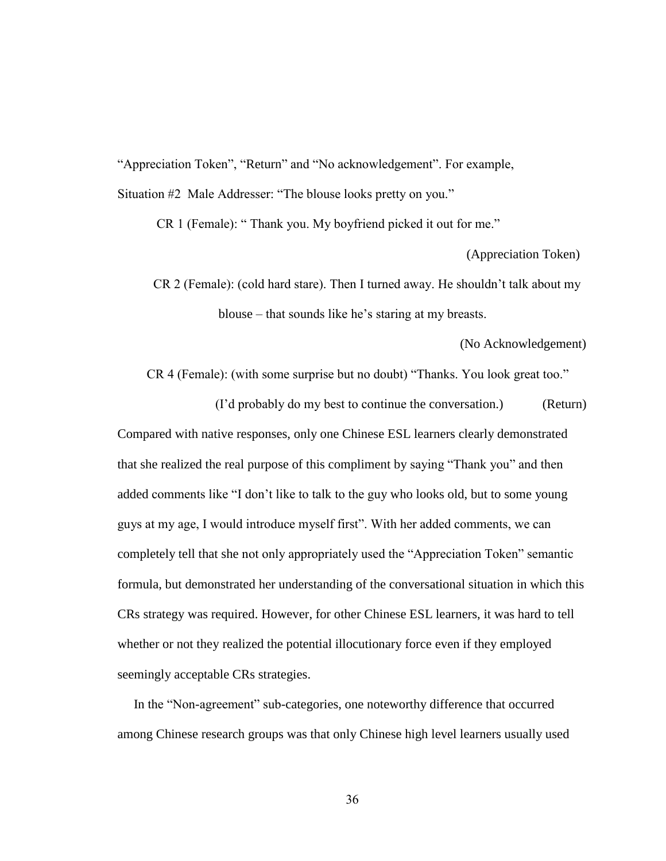"Appreciation Token", "Return" and "No acknowledgement". For example,

Situation #2 Male Addresser: "The blouse looks pretty on you."

CR 1 (Female): "Thank you. My boyfriend picked it out for me."

(Appreciation Token)

 CR 2 (Female): (cold hard stare). Then I turned away. He shouldn't talk about my blouse – that sounds like he's staring at my breasts.

(No Acknowledgement)

CR 4 (Female): (with some surprise but no doubt) "Thanks. You look great too."

 (I'd probably do my best to continue the conversation.) (Return) Compared with native responses, only one Chinese ESL learners clearly demonstrated that she realized the real purpose of this compliment by saying "Thank you" and then added comments like "I don't like to talk to the guy who looks old, but to some young guys at my age, I would introduce myself first". With her added comments, we can completely tell that she not only appropriately used the "Appreciation Token" semantic formula, but demonstrated her understanding of the conversational situation in which this CRs strategy was required. However, for other Chinese ESL learners, it was hard to tell whether or not they realized the potential illocutionary force even if they employed seemingly acceptable CRs strategies.

In the "Non-agreement" sub-categories, one noteworthy difference that occurred among Chinese research groups was that only Chinese high level learners usually used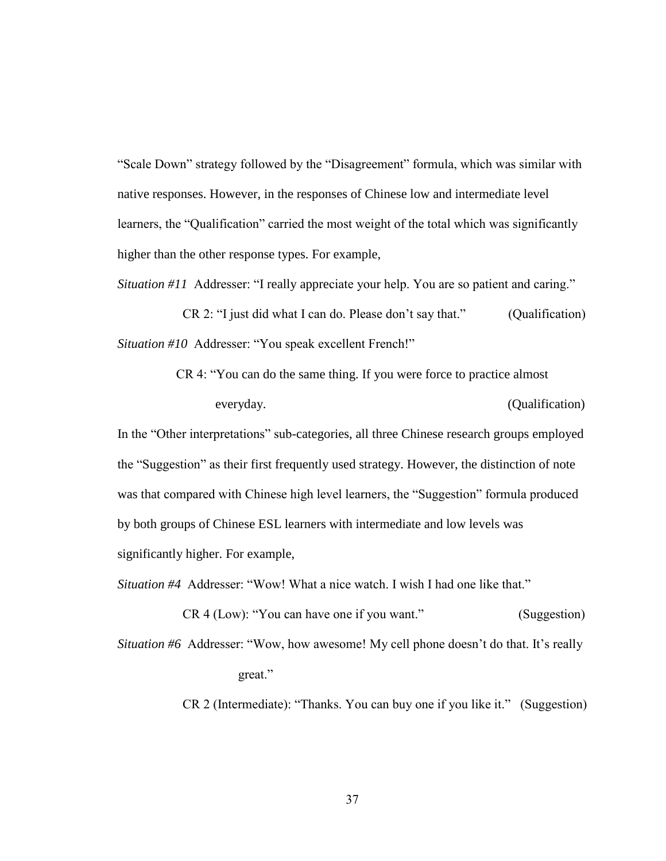"Scale Down" strategy followed by the "Disagreement" formula, which was similar with native responses. However, in the responses of Chinese low and intermediate level learners, the "Qualification" carried the most weight of the total which was significantly higher than the other response types. For example,

*Situation #11* Addresser: "I really appreciate your help. You are so patient and caring."

 $CR$  2: "I just did what I can do. Please don't say that." (Qualification) *Situation #10* Addresser: "You speak excellent French!"

> CR 4: "You can do the same thing. If you were force to practice almost everyday. (Qualification)

In the "Other interpretations" sub-categories, all three Chinese research groups employed the "Suggestion" as their first frequently used strategy. However, the distinction of note was that compared with Chinese high level learners, the "Suggestion" formula produced by both groups of Chinese ESL learners with intermediate and low levels was significantly higher. For example,

*Situation #4* Addresser: "Wow! What a nice watch. I wish I had one like that."

CR 4 (Low): "You can have one if you want." (Suggestion)

*Situation #6* Addresser: "Wow, how awesome! My cell phone doesn't do that. It's really great."

CR 2 (Intermediate): "Thanks. You can buy one if you like it." (Suggestion)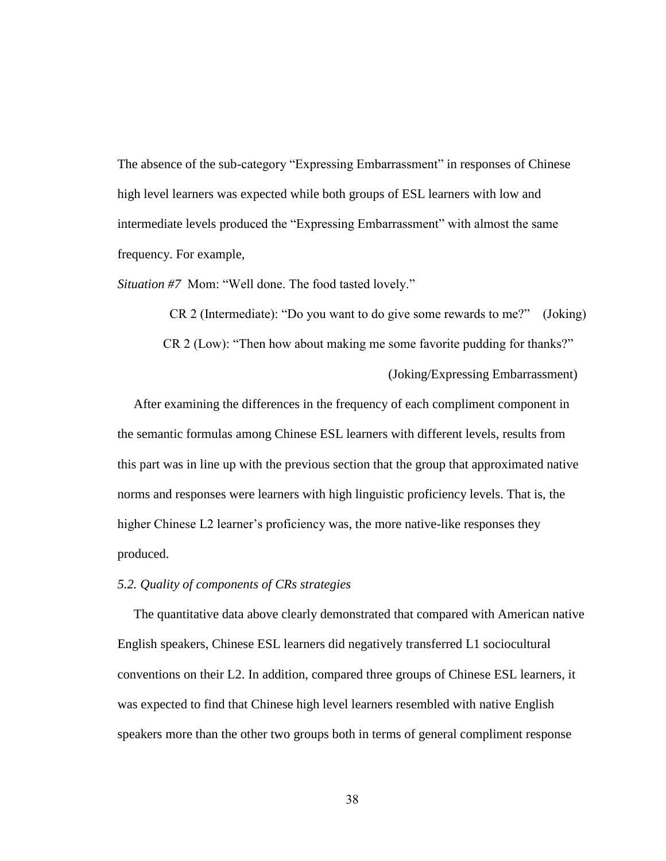The absence of the sub-category "Expressing Embarrassment" in responses of Chinese high level learners was expected while both groups of ESL learners with low and intermediate levels produced the "Expressing Embarrassment" with almost the same frequency. For example,

*Situation #7* Mom: "Well done. The food tasted lovely."

 $CR$  2 (Intermediate): "Do you want to do give some rewards to me?" (Joking) CR 2 (Low): "Then how about making me some favorite pudding for thanks?" (Joking/Expressing Embarrassment)

 After examining the differences in the frequency of each compliment component in the semantic formulas among Chinese ESL learners with different levels, results from this part was in line up with the previous section that the group that approximated native norms and responses were learners with high linguistic proficiency levels. That is, the higher Chinese L2 learner's proficiency was, the more native-like responses they produced.

### *5.2. Quality of components of CRs strategies*

 The quantitative data above clearly demonstrated that compared with American native English speakers, Chinese ESL learners did negatively transferred L1 sociocultural conventions on their L2. In addition, compared three groups of Chinese ESL learners, it was expected to find that Chinese high level learners resembled with native English speakers more than the other two groups both in terms of general compliment response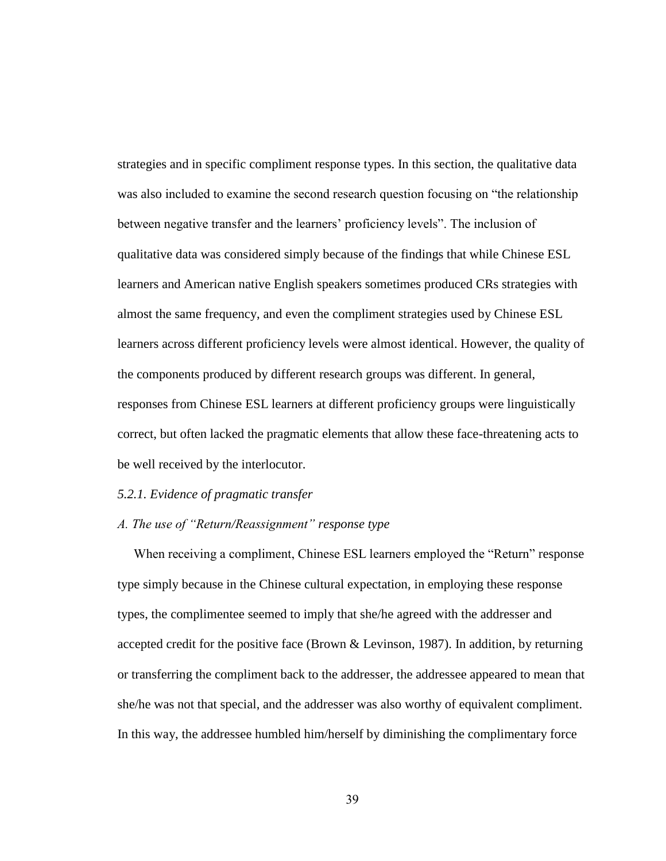strategies and in specific compliment response types. In this section, the qualitative data was also included to examine the second research question focusing on "the relationship between negative transfer and the learners' proficiency levels". The inclusion of qualitative data was considered simply because of the findings that while Chinese ESL learners and American native English speakers sometimes produced CRs strategies with almost the same frequency, and even the compliment strategies used by Chinese ESL learners across different proficiency levels were almost identical. However, the quality of the components produced by different research groups was different. In general, responses from Chinese ESL learners at different proficiency groups were linguistically correct, but often lacked the pragmatic elements that allow these face-threatening acts to be well received by the interlocutor.

#### *5.2.1. Evidence of pragmatic transfer*

#### *A. The use of "Return/Reassignment" response type*

When receiving a compliment, Chinese ESL learners employed the "Return" response type simply because in the Chinese cultural expectation, in employing these response types, the complimentee seemed to imply that she/he agreed with the addresser and accepted credit for the positive face (Brown & Levinson, 1987). In addition, by returning or transferring the compliment back to the addresser, the addressee appeared to mean that she/he was not that special, and the addresser was also worthy of equivalent compliment. In this way, the addressee humbled him/herself by diminishing the complimentary force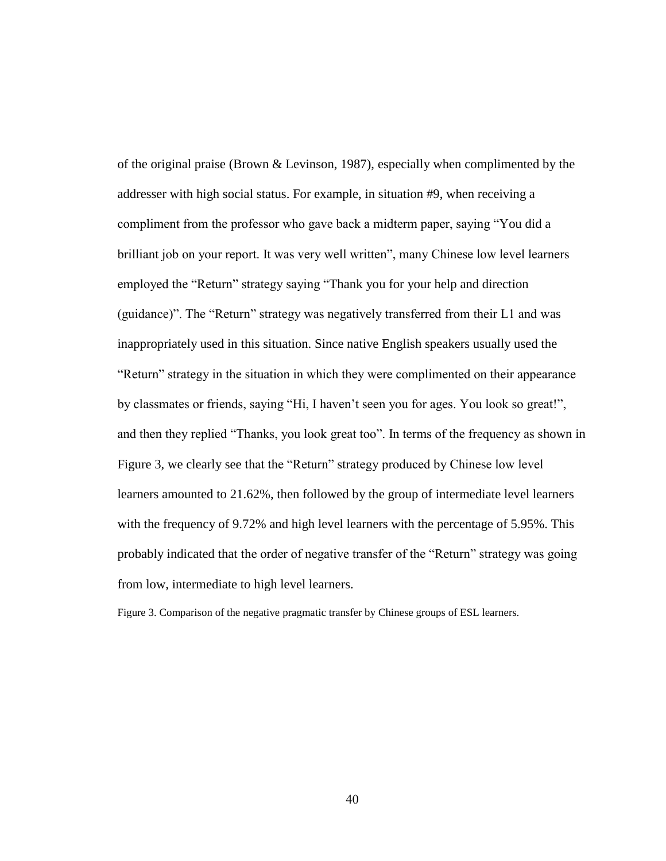of the original praise (Brown & Levinson, 1987), especially when complimented by the addresser with high social status. For example, in situation #9, when receiving a compliment from the professor who gave back a midterm paper, saying "You did a brilliant job on your report. It was very well written", many Chinese low level learners employed the "Return" strategy saying "Thank you for your help and direction (guidance)". The "Return" strategy was negatively transferred from their L1 and was inappropriately used in this situation. Since native English speakers usually used the "Return" strategy in the situation in which they were complimented on their appearance by classmates or friends, saying "Hi, I haven't seen you for ages. You look so great!", and then they replied "Thanks, you look great too". In terms of the frequency as shown in Figure 3, we clearly see that the "Return" strategy produced by Chinese low level learners amounted to 21.62%, then followed by the group of intermediate level learners with the frequency of 9.72% and high level learners with the percentage of 5.95%. This probably indicated that the order of negative transfer of the "Return" strategy was going from low, intermediate to high level learners.

Figure 3. Comparison of the negative pragmatic transfer by Chinese groups of ESL learners.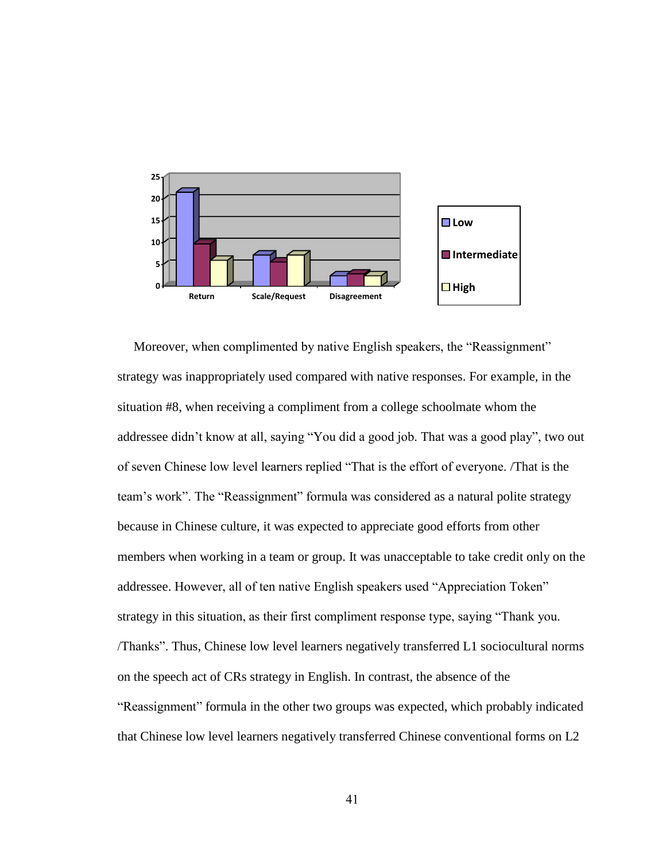

Moreover, when complimented by native English speakers, the "Reassignment" strategy was inappropriately used compared with native responses. For example, in the situation #8, when receiving a compliment from a college schoolmate whom the addressee didn't know at all, saying "You did a good job. That was a good play", two out of seven Chinese low level learners replied "That is the effort of everyone. /That is the team's work". The "Reassignment" formula was considered as a natural polite strategy because in Chinese culture, it was expected to appreciate good efforts from other members when working in a team or group. It was unacceptable to take credit only on the addressee. However, all of ten native English speakers used "Appreciation Token" strategy in this situation, as their first compliment response type, saying "Thank you. /Thanks‖. Thus, Chinese low level learners negatively transferred L1 sociocultural norms on the speech act of CRs strategy in English. In contrast, the absence of the "Reassignment" formula in the other two groups was expected, which probably indicated that Chinese low level learners negatively transferred Chinese conventional forms on L2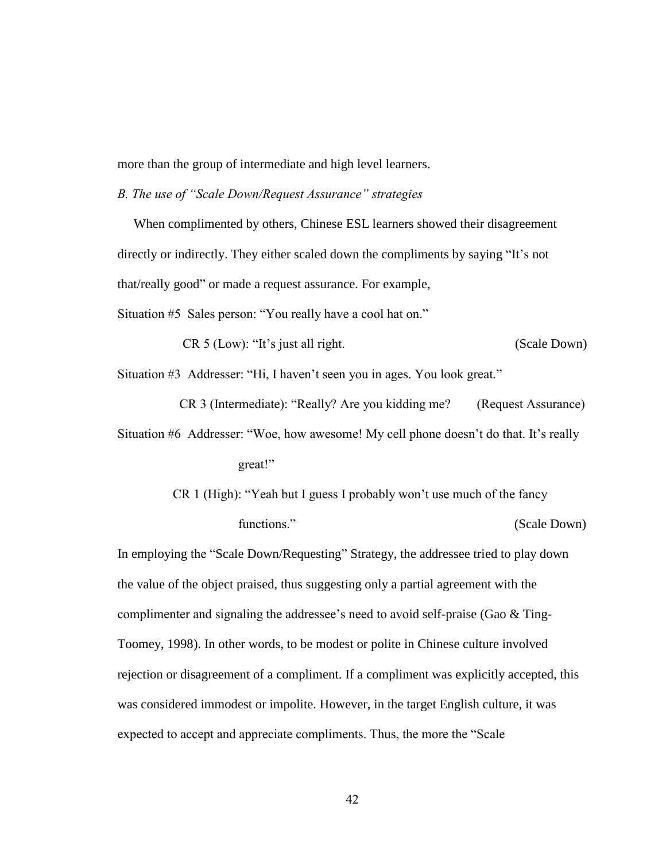more than the group of intermediate and high level learners.

*B. The use of "Scale Down/Request Assurance" strategies* 

 When complimented by others, Chinese ESL learners showed their disagreement directly or indirectly. They either scaled down the compliments by saying "It's not that/really good" or made a request assurance. For example,

Situation #5 Sales person: "You really have a cool hat on."

CR 5 (Low): "It's just all right. (Scale Down)

Situation #3 Addresser: "Hi, I haven't seen you in ages. You look great."

CR 3 (Intermediate): "Really? Are you kidding me? (Request Assurance) Situation #6 Addresser: "Woe, how awesome! My cell phone doesn't do that. It's really great!‖

> CR 1 (High): "Yeah but I guess I probably won't use much of the fancy functions." (Scale Down)

In employing the "Scale Down/Requesting" Strategy, the addressee tried to play down the value of the object praised, thus suggesting only a partial agreement with the complimenter and signaling the addressee's need to avoid self-praise (Gao & Ting-Toomey, 1998). In other words, to be modest or polite in Chinese culture involved rejection or disagreement of a compliment. If a compliment was explicitly accepted, this was considered immodest or impolite. However, in the target English culture, it was expected to accept and appreciate compliments. Thus, the more the "Scale"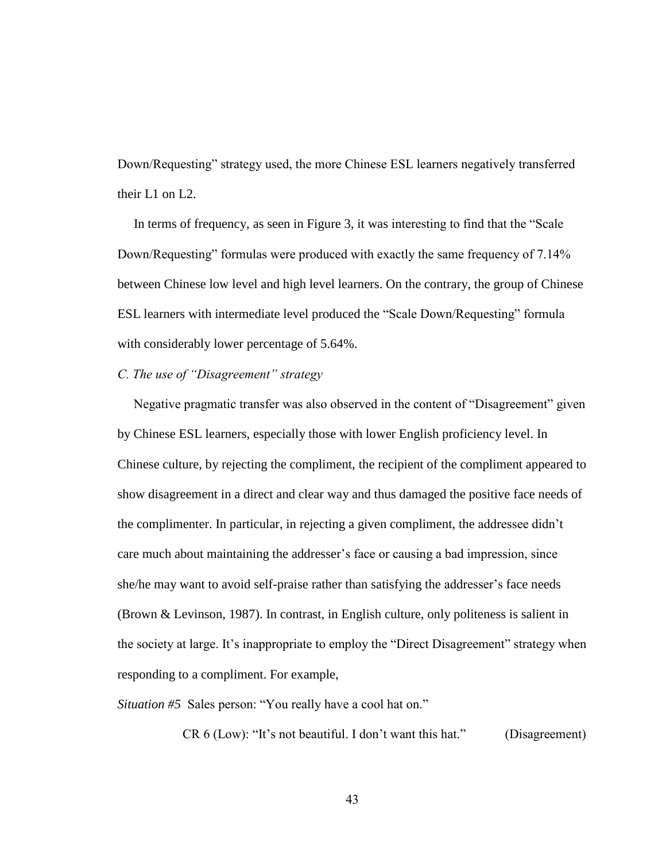Down/Requesting" strategy used, the more Chinese ESL learners negatively transferred their L1 on L2.

In terms of frequency, as seen in Figure 3, it was interesting to find that the "Scale" Down/Requesting" formulas were produced with exactly the same frequency of 7.14% between Chinese low level and high level learners. On the contrary, the group of Chinese ESL learners with intermediate level produced the "Scale Down/Requesting" formula with considerably lower percentage of  $5.64\%$ .

#### *C. The use of "Disagreement" strategy*

Negative pragmatic transfer was also observed in the content of "Disagreement" given by Chinese ESL learners, especially those with lower English proficiency level. In Chinese culture, by rejecting the compliment, the recipient of the compliment appeared to show disagreement in a direct and clear way and thus damaged the positive face needs of the complimenter. In particular, in rejecting a given compliment, the addressee didn't care much about maintaining the addresser's face or causing a bad impression, since she/he may want to avoid self-praise rather than satisfying the addresser's face needs (Brown & Levinson, 1987). In contrast, in English culture, only politeness is salient in the society at large. It's inappropriate to employ the "Direct Disagreement" strategy when responding to a compliment. For example,

*Situation #5* Sales person: "You really have a cool hat on."

 $CR 6 (Low): "It's not beautiful. I don't want this hat."$  (Disagreement)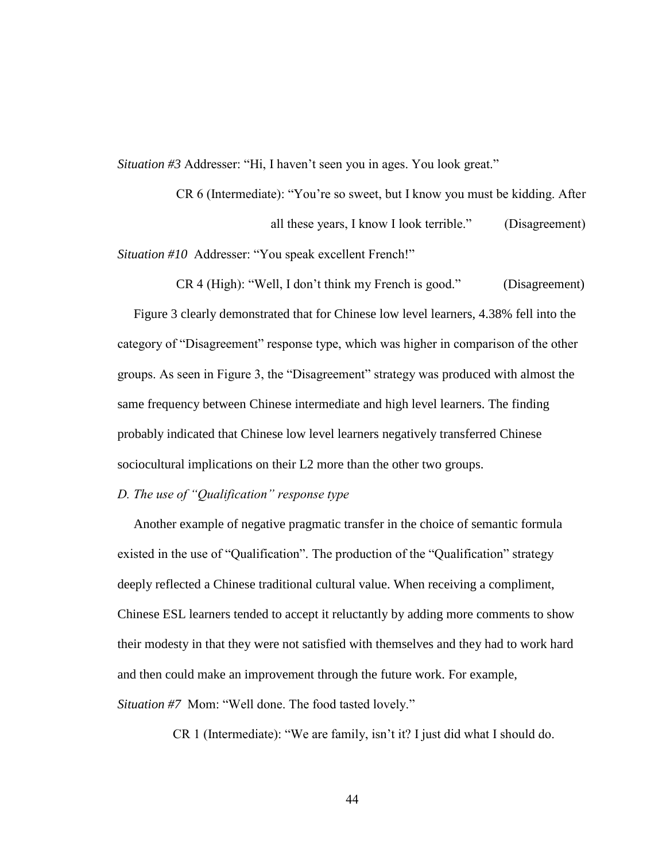*Situation #3* Addresser: "Hi, I haven't seen you in ages. You look great."

CR 6 (Intermediate): "You're so sweet, but I know you must be kidding. After all these years, I know I look terrible." (Disagreement) *Situation #10* Addresser: "You speak excellent French!"

 $CR 4$  (High): "Well, I don't think my French is good." (Disagreement) Figure 3 clearly demonstrated that for Chinese low level learners, 4.38% fell into the category of "Disagreement" response type, which was higher in comparison of the other groups. As seen in Figure 3, the "Disagreement" strategy was produced with almost the same frequency between Chinese intermediate and high level learners. The finding probably indicated that Chinese low level learners negatively transferred Chinese sociocultural implications on their L2 more than the other two groups.

#### *D. The use of "Qualification" response type*

 Another example of negative pragmatic transfer in the choice of semantic formula existed in the use of "Qualification". The production of the "Qualification" strategy deeply reflected a Chinese traditional cultural value. When receiving a compliment, Chinese ESL learners tended to accept it reluctantly by adding more comments to show their modesty in that they were not satisfied with themselves and they had to work hard and then could make an improvement through the future work. For example, *Situation #7* Mom: "Well done. The food tasted lovely."

CR 1 (Intermediate): "We are family, isn't it? I just did what I should do.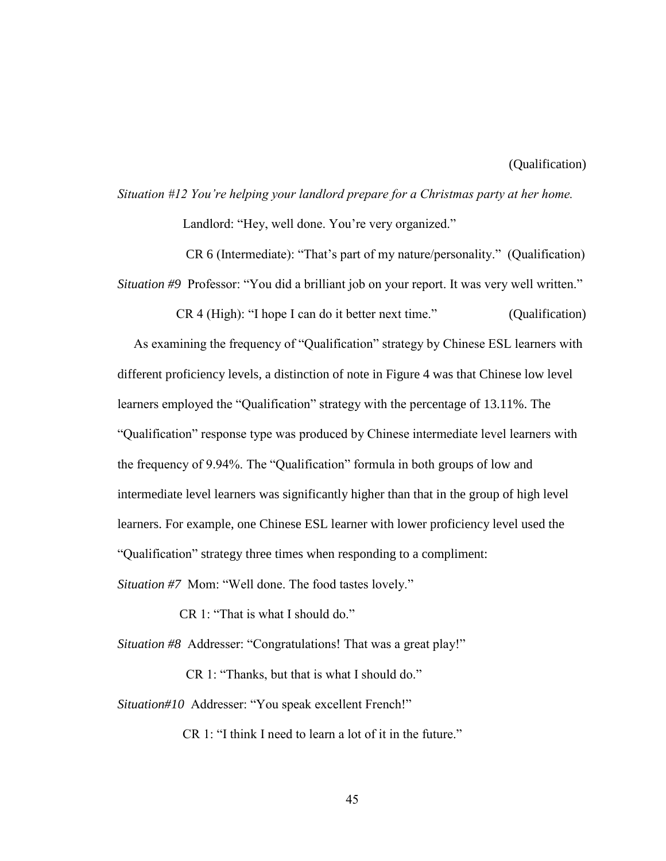# *Situation #12 You're helping your landlord prepare for a Christmas party at her home.*  Landlord: "Hey, well done. You're very organized."

CR 6 (Intermediate): "That's part of my nature/personality." (Qualification) *Situation #9* Professor: "You did a brilliant job on your report. It was very well written."

 $CR 4$  (High): "I hope I can do it better next time." (Qualification) As examining the frequency of "Qualification" strategy by Chinese ESL learners with different proficiency levels, a distinction of note in Figure 4 was that Chinese low level learners employed the "Qualification" strategy with the percentage of 13.11%. The ―Qualification‖ response type was produced by Chinese intermediate level learners with the frequency of 9.94%. The "Qualification" formula in both groups of low and intermediate level learners was significantly higher than that in the group of high level learners. For example, one Chinese ESL learner with lower proficiency level used the ―Qualification‖ strategy three times when responding to a compliment:

*Situation #7* Mom: "Well done. The food tastes lovely."

CR 1: "That is what I should do."

*Situation #8* Addresser: "Congratulations! That was a great play!"

CR 1: "Thanks, but that is what I should do."

*Situation#10* Addresser: "You speak excellent French!"

CR 1: "I think I need to learn a lot of it in the future."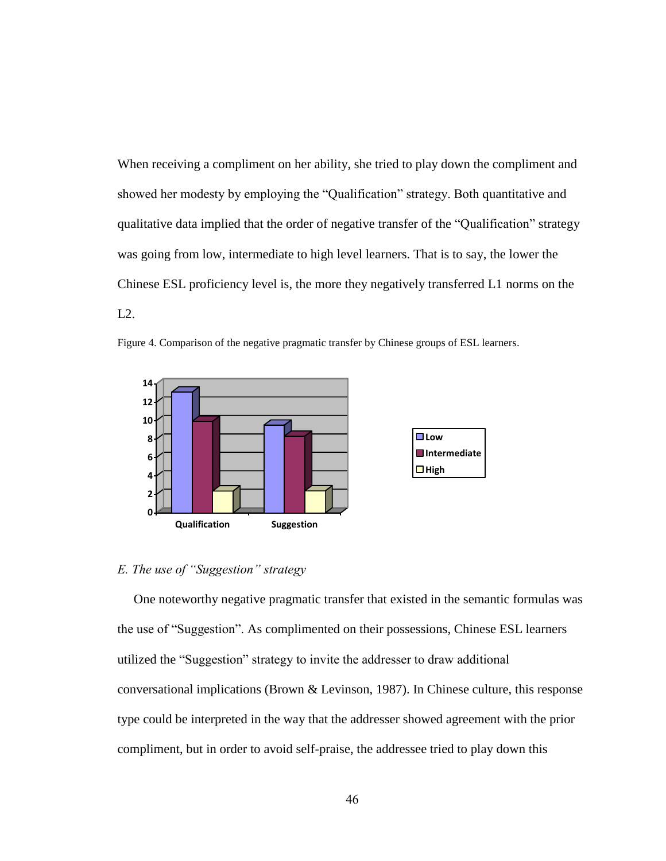When receiving a compliment on her ability, she tried to play down the compliment and showed her modesty by employing the "Qualification" strategy. Both quantitative and qualitative data implied that the order of negative transfer of the "Qualification" strategy was going from low, intermediate to high level learners. That is to say, the lower the Chinese ESL proficiency level is, the more they negatively transferred L1 norms on the L2.



Figure 4. Comparison of the negative pragmatic transfer by Chinese groups of ESL learners.

### *E. The use of "Suggestion" strategy*

 One noteworthy negative pragmatic transfer that existed in the semantic formulas was the use of "Suggestion". As complimented on their possessions, Chinese ESL learners utilized the "Suggestion" strategy to invite the addresser to draw additional conversational implications (Brown & Levinson, 1987). In Chinese culture, this response type could be interpreted in the way that the addresser showed agreement with the prior compliment, but in order to avoid self-praise, the addressee tried to play down this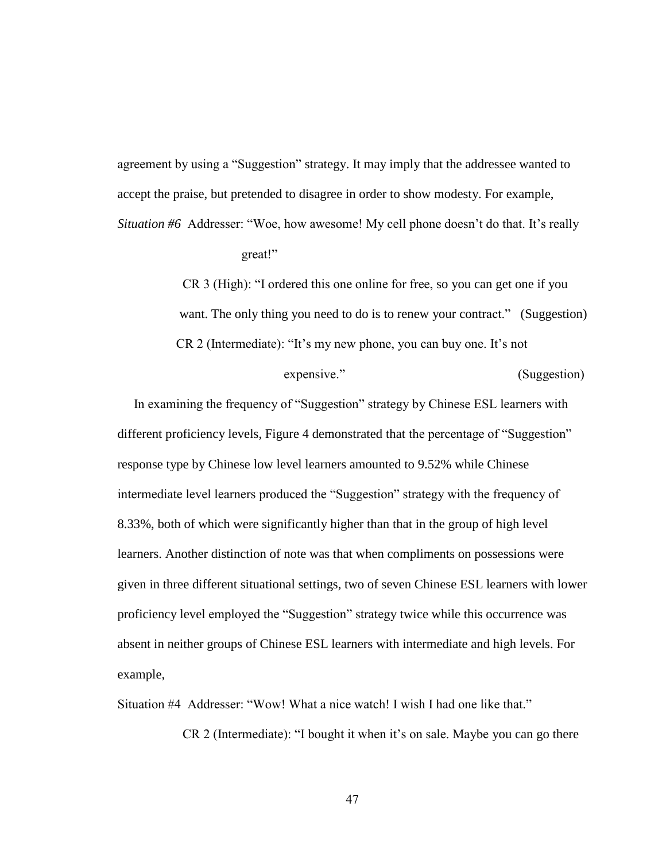agreement by using a "Suggestion" strategy. It may imply that the addressee wanted to accept the praise, but pretended to disagree in order to show modesty. For example,

*Situation #6* Addresser: "Woe, how awesome! My cell phone doesn't do that. It's really great!"

> CR 3 (High): "I ordered this one online for free, so you can get one if you want. The only thing you need to do is to renew your contract." (Suggestion)  $CR$  2 (Intermediate): "It's my new phone, you can buy one. It's not

> > expensive." (Suggestion)

In examining the frequency of "Suggestion" strategy by Chinese ESL learners with different proficiency levels, Figure 4 demonstrated that the percentage of "Suggestion" response type by Chinese low level learners amounted to 9.52% while Chinese intermediate level learners produced the "Suggestion" strategy with the frequency of 8.33%, both of which were significantly higher than that in the group of high level learners. Another distinction of note was that when compliments on possessions were given in three different situational settings, two of seven Chinese ESL learners with lower proficiency level employed the "Suggestion" strategy twice while this occurrence was absent in neither groups of Chinese ESL learners with intermediate and high levels. For example,

Situation #4 Addresser: "Wow! What a nice watch! I wish I had one like that."

CR 2 (Intermediate): "I bought it when it's on sale. Maybe you can go there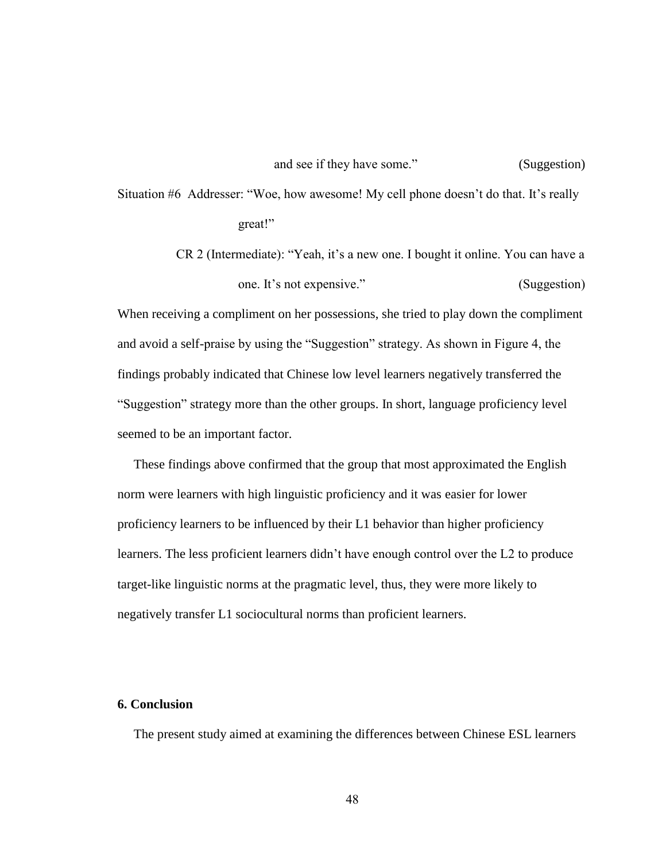Situation #6 Addresser: "Woe, how awesome! My cell phone doesn't do that. It's really great!‖

> CR 2 (Intermediate): "Yeah, it's a new one. I bought it online. You can have a one. It's not expensive." (Suggestion)

When receiving a compliment on her possessions, she tried to play down the compliment and avoid a self-praise by using the "Suggestion" strategy. As shown in Figure 4, the findings probably indicated that Chinese low level learners negatively transferred the ―Suggestion‖ strategy more than the other groups. In short, language proficiency level seemed to be an important factor.

 These findings above confirmed that the group that most approximated the English norm were learners with high linguistic proficiency and it was easier for lower proficiency learners to be influenced by their L1 behavior than higher proficiency learners. The less proficient learners didn't have enough control over the L2 to produce target-like linguistic norms at the pragmatic level, thus, they were more likely to negatively transfer L1 sociocultural norms than proficient learners.

#### **6. Conclusion**

The present study aimed at examining the differences between Chinese ESL learners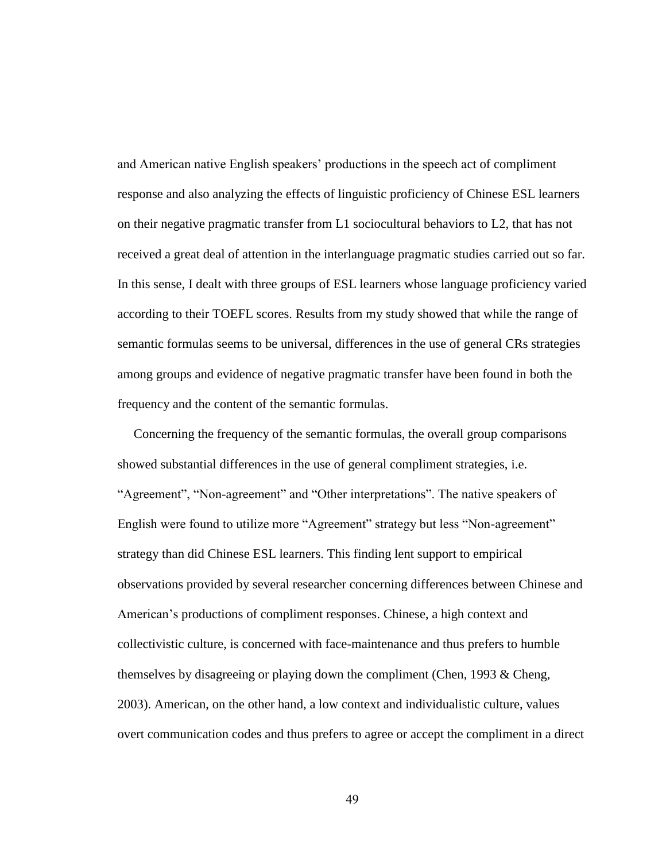and American native English speakers' productions in the speech act of compliment response and also analyzing the effects of linguistic proficiency of Chinese ESL learners on their negative pragmatic transfer from L1 sociocultural behaviors to L2, that has not received a great deal of attention in the interlanguage pragmatic studies carried out so far. In this sense, I dealt with three groups of ESL learners whose language proficiency varied according to their TOEFL scores. Results from my study showed that while the range of semantic formulas seems to be universal, differences in the use of general CRs strategies among groups and evidence of negative pragmatic transfer have been found in both the frequency and the content of the semantic formulas.

 Concerning the frequency of the semantic formulas, the overall group comparisons showed substantial differences in the use of general compliment strategies, i.e. "Agreement", "Non-agreement" and "Other interpretations". The native speakers of English were found to utilize more "Agreement" strategy but less "Non-agreement" strategy than did Chinese ESL learners. This finding lent support to empirical observations provided by several researcher concerning differences between Chinese and American's productions of compliment responses. Chinese, a high context and collectivistic culture, is concerned with face-maintenance and thus prefers to humble themselves by disagreeing or playing down the compliment (Chen, 1993 & Cheng, 2003). American, on the other hand, a low context and individualistic culture, values overt communication codes and thus prefers to agree or accept the compliment in a direct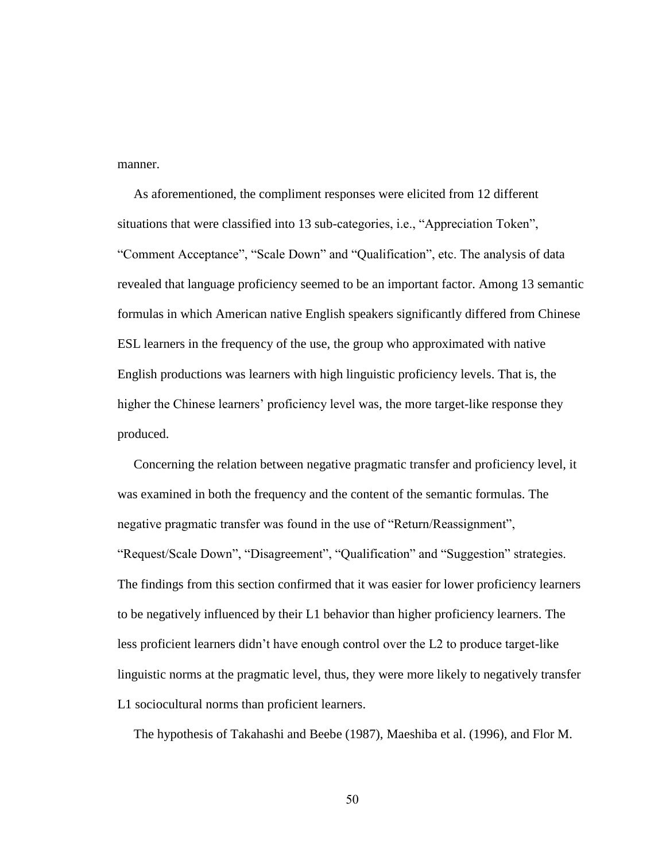manner.

 As aforementioned, the compliment responses were elicited from 12 different situations that were classified into 13 sub-categories, i.e., "Appreciation Token", "Comment Acceptance", "Scale Down" and "Qualification", etc. The analysis of data revealed that language proficiency seemed to be an important factor. Among 13 semantic formulas in which American native English speakers significantly differed from Chinese ESL learners in the frequency of the use, the group who approximated with native English productions was learners with high linguistic proficiency levels. That is, the higher the Chinese learners' proficiency level was, the more target-like response they produced.

 Concerning the relation between negative pragmatic transfer and proficiency level, it was examined in both the frequency and the content of the semantic formulas. The negative pragmatic transfer was found in the use of "Return/Reassignment", "Request/Scale Down", "Disagreement", "Qualification" and "Suggestion" strategies. The findings from this section confirmed that it was easier for lower proficiency learners to be negatively influenced by their L1 behavior than higher proficiency learners. The less proficient learners didn't have enough control over the L2 to produce target-like linguistic norms at the pragmatic level, thus, they were more likely to negatively transfer L1 sociocultural norms than proficient learners.

The hypothesis of Takahashi and Beebe (1987), Maeshiba et al. (1996), and Flor M.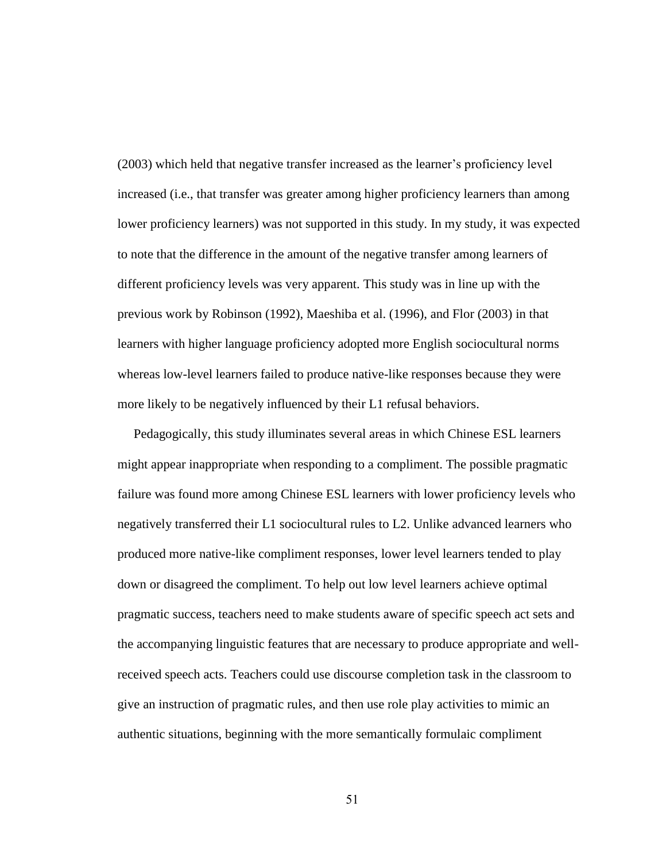(2003) which held that negative transfer increased as the learner's proficiency level increased (i.e., that transfer was greater among higher proficiency learners than among lower proficiency learners) was not supported in this study. In my study, it was expected to note that the difference in the amount of the negative transfer among learners of different proficiency levels was very apparent. This study was in line up with the previous work by Robinson (1992), Maeshiba et al. (1996), and Flor (2003) in that learners with higher language proficiency adopted more English sociocultural norms whereas low-level learners failed to produce native-like responses because they were more likely to be negatively influenced by their L1 refusal behaviors.

 Pedagogically, this study illuminates several areas in which Chinese ESL learners might appear inappropriate when responding to a compliment. The possible pragmatic failure was found more among Chinese ESL learners with lower proficiency levels who negatively transferred their L1 sociocultural rules to L2. Unlike advanced learners who produced more native-like compliment responses, lower level learners tended to play down or disagreed the compliment. To help out low level learners achieve optimal pragmatic success, teachers need to make students aware of specific speech act sets and the accompanying linguistic features that are necessary to produce appropriate and wellreceived speech acts. Teachers could use discourse completion task in the classroom to give an instruction of pragmatic rules, and then use role play activities to mimic an authentic situations, beginning with the more semantically formulaic compliment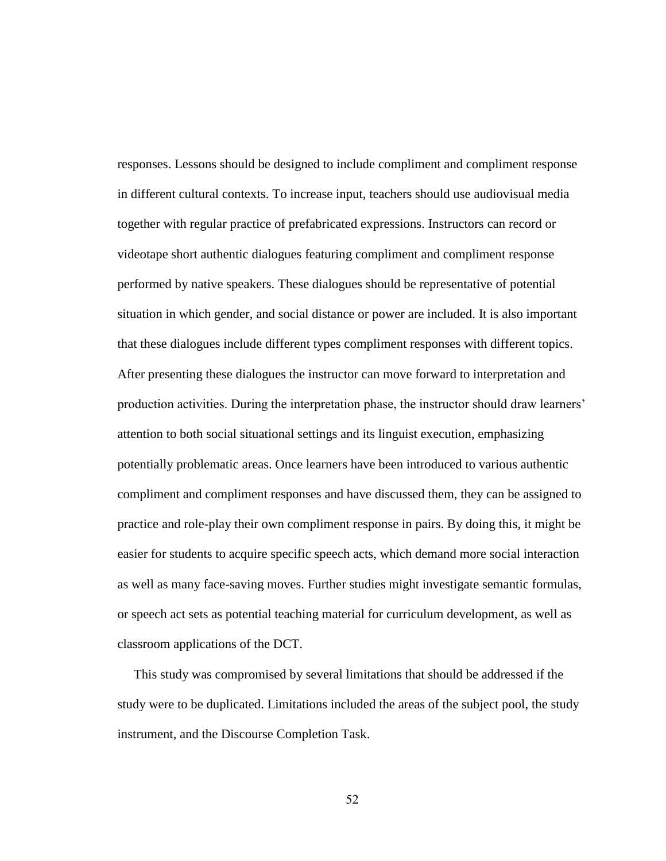responses. Lessons should be designed to include compliment and compliment response in different cultural contexts. To increase input, teachers should use audiovisual media together with regular practice of prefabricated expressions. Instructors can record or videotape short authentic dialogues featuring compliment and compliment response performed by native speakers. These dialogues should be representative of potential situation in which gender, and social distance or power are included. It is also important that these dialogues include different types compliment responses with different topics. After presenting these dialogues the instructor can move forward to interpretation and production activities. During the interpretation phase, the instructor should draw learners' attention to both social situational settings and its linguist execution, emphasizing potentially problematic areas. Once learners have been introduced to various authentic compliment and compliment responses and have discussed them, they can be assigned to practice and role-play their own compliment response in pairs. By doing this, it might be easier for students to acquire specific speech acts, which demand more social interaction as well as many face-saving moves. Further studies might investigate semantic formulas, or speech act sets as potential teaching material for curriculum development, as well as classroom applications of the DCT.

This study was compromised by several limitations that should be addressed if the study were to be duplicated. Limitations included the areas of the subject pool, the study instrument, and the Discourse Completion Task.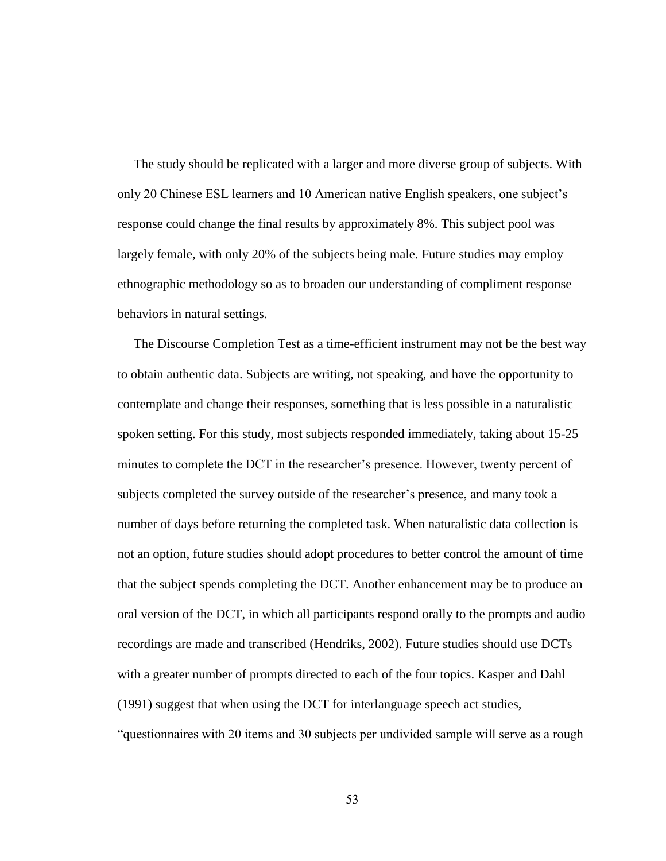The study should be replicated with a larger and more diverse group of subjects. With only 20 Chinese ESL learners and 10 American native English speakers, one subject's response could change the final results by approximately 8%. This subject pool was largely female, with only 20% of the subjects being male. Future studies may employ ethnographic methodology so as to broaden our understanding of compliment response behaviors in natural settings.

 The Discourse Completion Test as a time-efficient instrument may not be the best way to obtain authentic data. Subjects are writing, not speaking, and have the opportunity to contemplate and change their responses, something that is less possible in a naturalistic spoken setting. For this study, most subjects responded immediately, taking about 15-25 minutes to complete the DCT in the researcher's presence. However, twenty percent of subjects completed the survey outside of the researcher's presence, and many took a number of days before returning the completed task. When naturalistic data collection is not an option, future studies should adopt procedures to better control the amount of time that the subject spends completing the DCT. Another enhancement may be to produce an oral version of the DCT, in which all participants respond orally to the prompts and audio recordings are made and transcribed (Hendriks, 2002). Future studies should use DCTs with a greater number of prompts directed to each of the four topics. Kasper and Dahl (1991) suggest that when using the DCT for interlanguage speech act studies, ―questionnaires with 20 items and 30 subjects per undivided sample will serve as a rough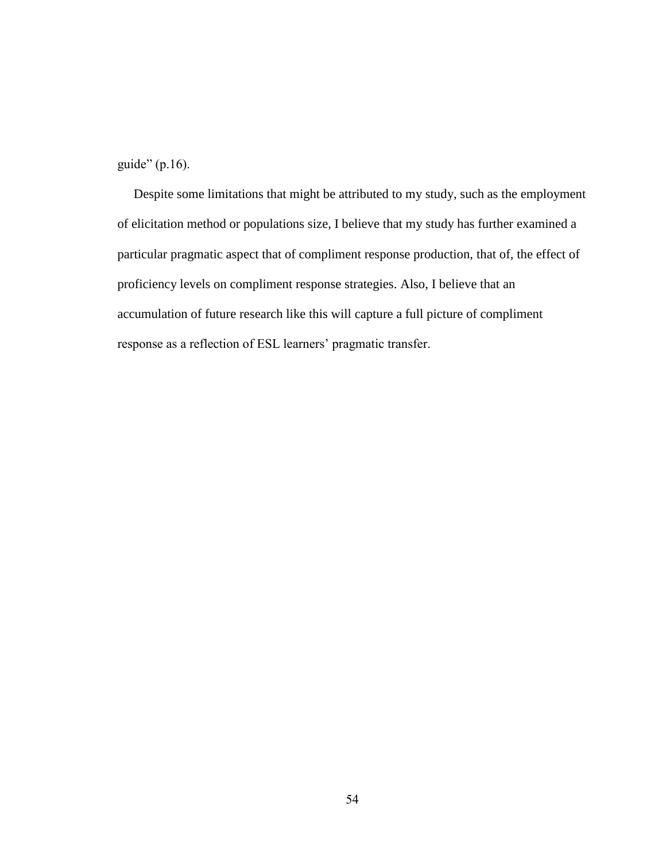guide"  $(p.16)$ .

 Despite some limitations that might be attributed to my study, such as the employment of elicitation method or populations size, I believe that my study has further examined a particular pragmatic aspect that of compliment response production, that of, the effect of proficiency levels on compliment response strategies. Also, I believe that an accumulation of future research like this will capture a full picture of compliment response as a reflection of ESL learners' pragmatic transfer.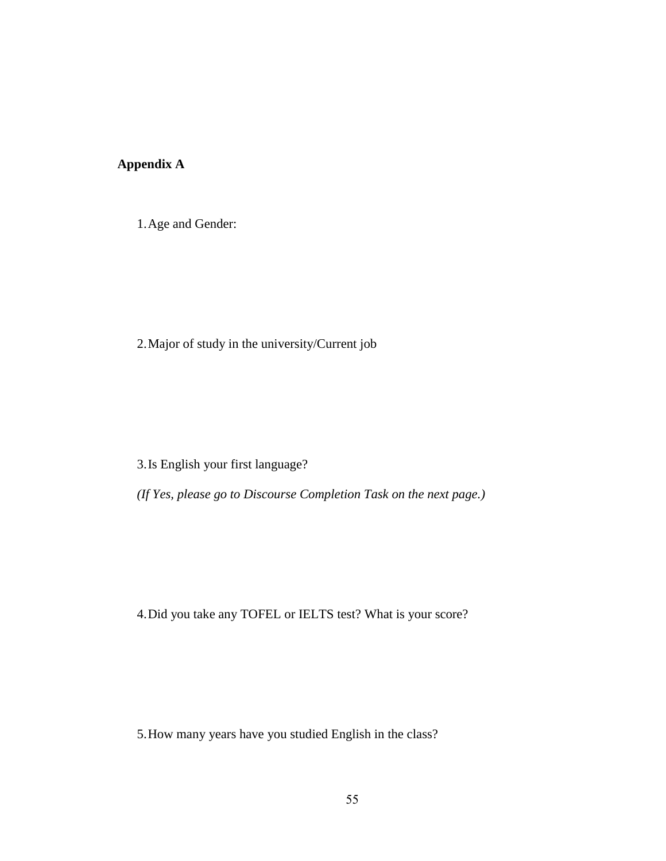# **Appendix A**

1.Age and Gender:

2.Major of study in the university/Current job

3.Is English your first language?

*(If Yes, please go to Discourse Completion Task on the next page.)*

4.Did you take any TOFEL or IELTS test? What is your score?

5.How many years have you studied English in the class?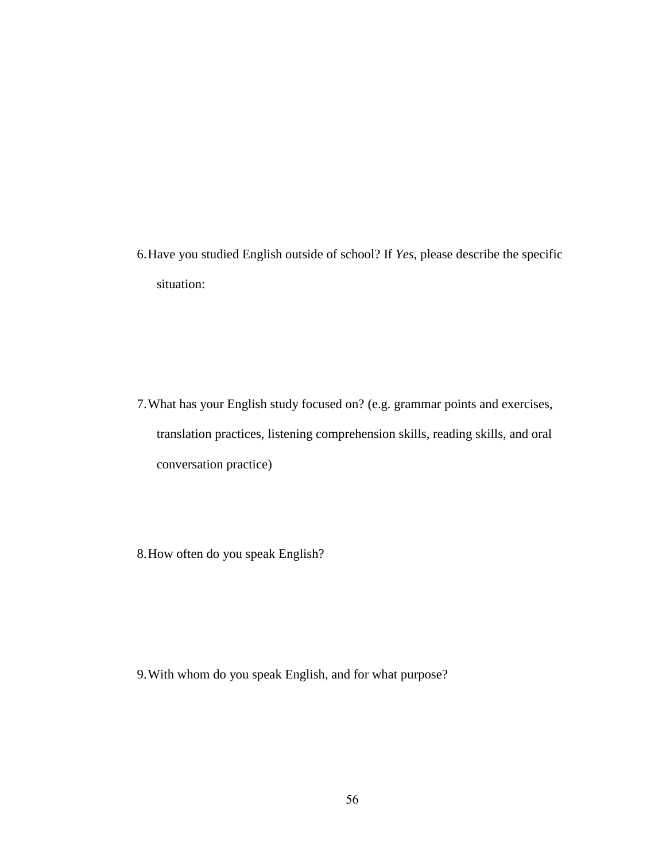6.Have you studied English outside of school? If *Yes*, please describe the specific situation:

- 7.What has your English study focused on? (e.g. grammar points and exercises, translation practices, listening comprehension skills, reading skills, and oral conversation practice)
- 8.How often do you speak English?

9.With whom do you speak English, and for what purpose?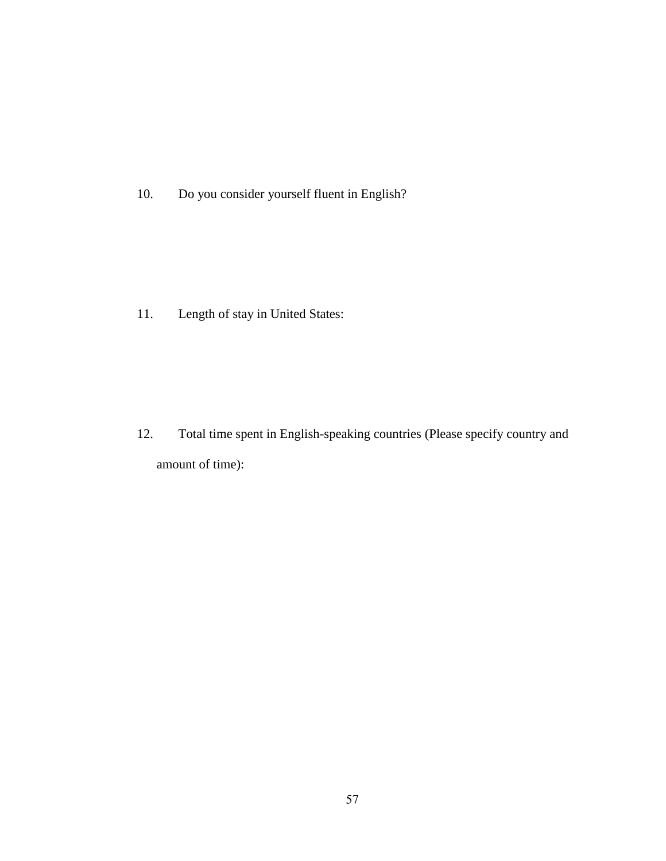10. Do you consider yourself fluent in English?

11. Length of stay in United States:

12. Total time spent in English-speaking countries (Please specify country and amount of time):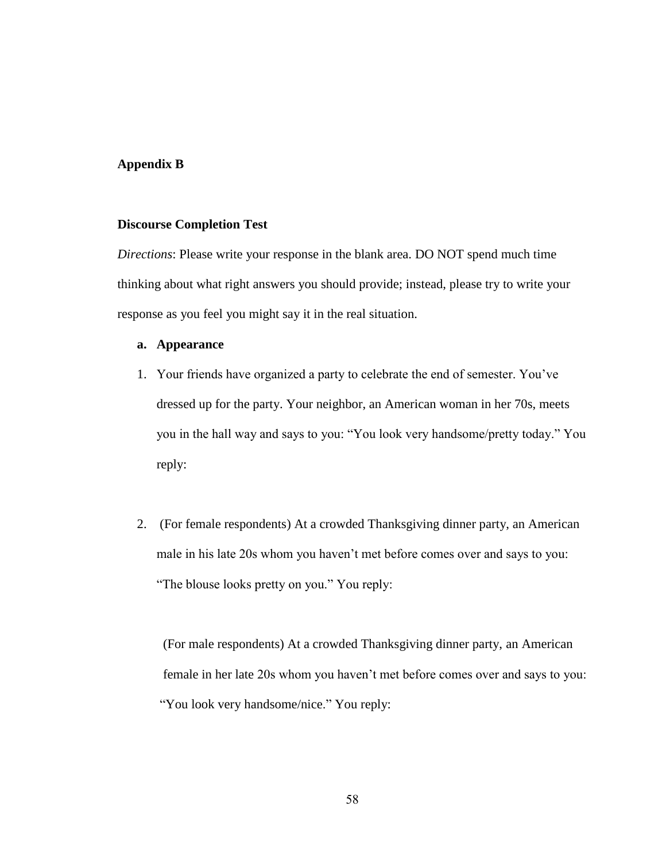#### **Appendix B**

#### **Discourse Completion Test**

*Directions*: Please write your response in the blank area. DO NOT spend much time thinking about what right answers you should provide; instead, please try to write your response as you feel you might say it in the real situation.

#### **a. Appearance**

- 1. Your friends have organized a party to celebrate the end of semester. You've dressed up for the party. Your neighbor, an American woman in her 70s, meets you in the hall way and says to you: "You look very handsome/pretty today." You reply:
- 2. (For female respondents) At a crowded Thanksgiving dinner party, an American male in his late 20s whom you haven't met before comes over and says to you: "The blouse looks pretty on you." You reply:

 (For male respondents) At a crowded Thanksgiving dinner party, an American female in her late 20s whom you haven't met before comes over and says to you: "You look very handsome/nice." You reply: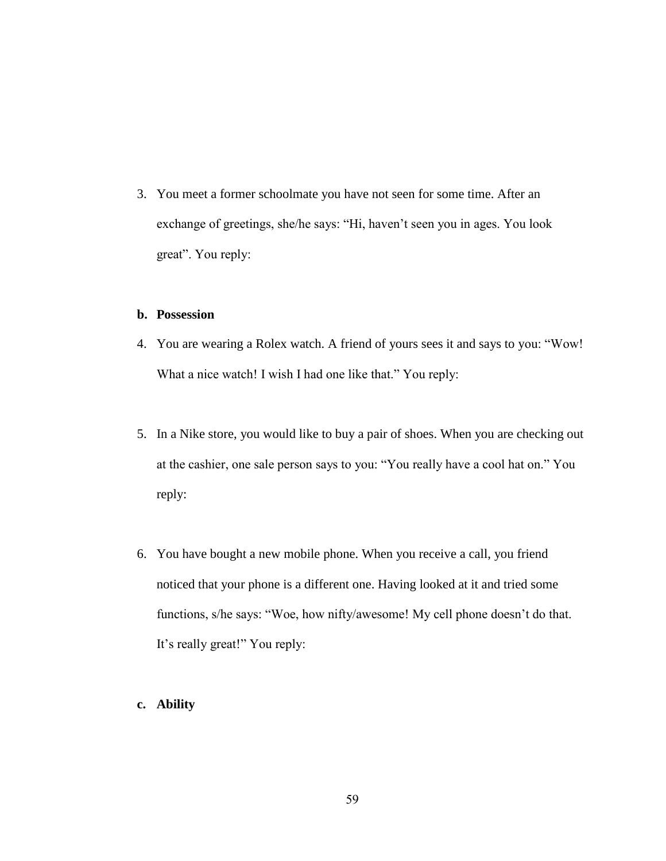3. You meet a former schoolmate you have not seen for some time. After an exchange of greetings, she/he says: "Hi, haven't seen you in ages. You look great". You reply:

### **b. Possession**

- 4. You are wearing a Rolex watch. A friend of yours sees it and says to you: "Wow! What a nice watch! I wish I had one like that." You reply:
- 5. In a Nike store, you would like to buy a pair of shoes. When you are checking out at the cashier, one sale person says to you: "You really have a cool hat on." You reply:
- 6. You have bought a new mobile phone. When you receive a call, you friend noticed that your phone is a different one. Having looked at it and tried some functions, s/he says: "Woe, how nifty/awesome! My cell phone doesn't do that. It's really great!" You reply:
- **c. Ability**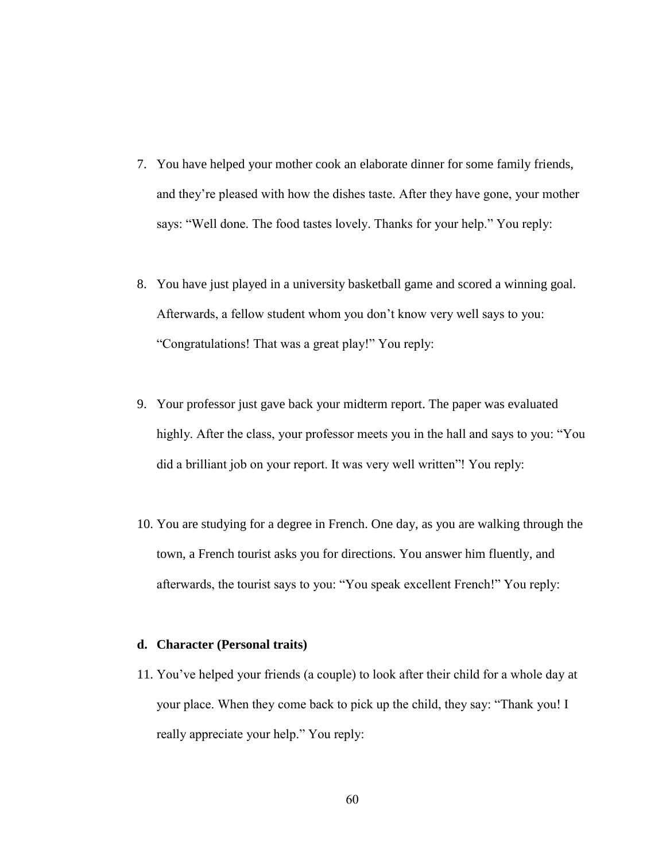- 7. You have helped your mother cook an elaborate dinner for some family friends, and they're pleased with how the dishes taste. After they have gone, your mother says: "Well done. The food tastes lovely. Thanks for your help." You reply:
- 8. You have just played in a university basketball game and scored a winning goal. Afterwards, a fellow student whom you don't know very well says to you: "Congratulations! That was a great play!" You reply:
- 9. Your professor just gave back your midterm report. The paper was evaluated highly. After the class, your professor meets you in the hall and says to you: "You did a brilliant job on your report. It was very well written"! You reply:
- 10. You are studying for a degree in French. One day, as you are walking through the town, a French tourist asks you for directions. You answer him fluently, and afterwards, the tourist says to you: "You speak excellent French!" You reply:

#### **d. Character (Personal traits)**

11. You've helped your friends (a couple) to look after their child for a whole day at your place. When they come back to pick up the child, they say: "Thank you! I really appreciate your help." You reply: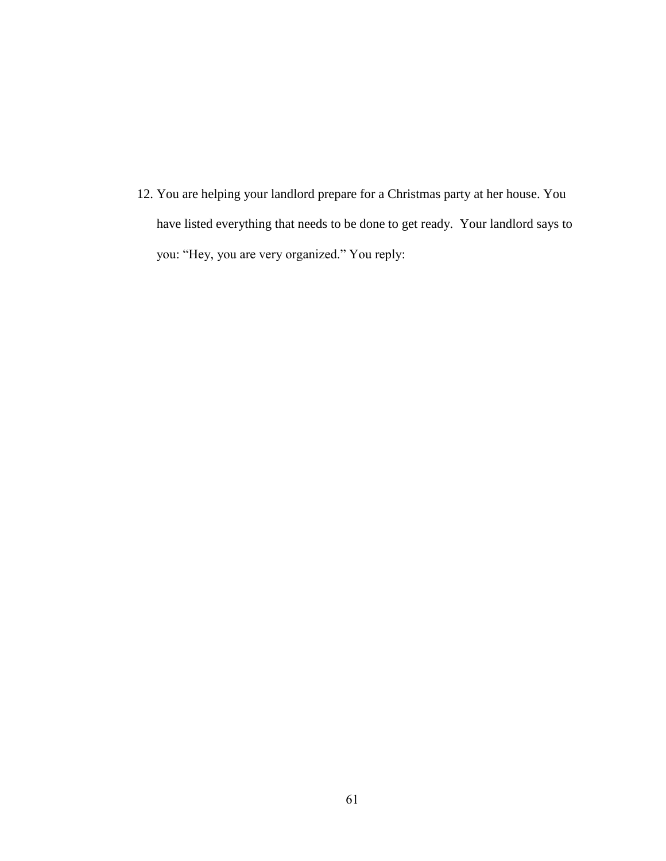12. You are helping your landlord prepare for a Christmas party at her house. You have listed everything that needs to be done to get ready. Your landlord says to you: "Hey, you are very organized." You reply: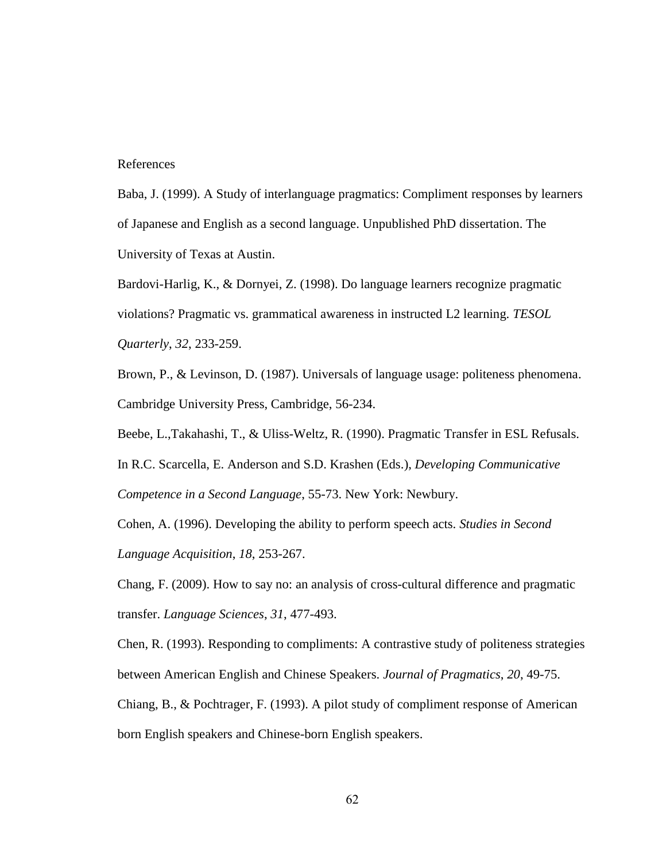#### References

Baba, J. (1999). A Study of interlanguage pragmatics: Compliment responses by learners of Japanese and English as a second language. Unpublished PhD dissertation. The University of Texas at Austin.

Bardovi-Harlig, K., & Dornyei, Z. (1998). Do language learners recognize pragmatic violations? Pragmatic vs. grammatical awareness in instructed L2 learning. *TESOL Quarterly*, *32*, 233-259.

Brown, P., & Levinson, D. (1987). Universals of language usage: politeness phenomena. Cambridge University Press, Cambridge, 56-234.

Beebe, L.,Takahashi, T., & Uliss-Weltz, R. (1990). Pragmatic Transfer in ESL Refusals.

In R.C. Scarcella, E. Anderson and S.D. Krashen (Eds.), *Developing Communicative Competence in a Second Language*, 55-73. New York: Newbury.

Cohen, A. (1996). Developing the ability to perform speech acts. *Studies in Second Language Acquisition*, *18*, 253-267.

Chang, F. (2009). How to say no: an analysis of cross-cultural difference and pragmatic transfer. *Language Sciences*, *31*, 477-493.

Chen, R. (1993). Responding to compliments: A contrastive study of politeness strategies between American English and Chinese Speakers. *Journal of Pragmatics*, *20*, 49-75.

Chiang, B., & Pochtrager, F. (1993). A pilot study of compliment response of American born English speakers and Chinese-born English speakers.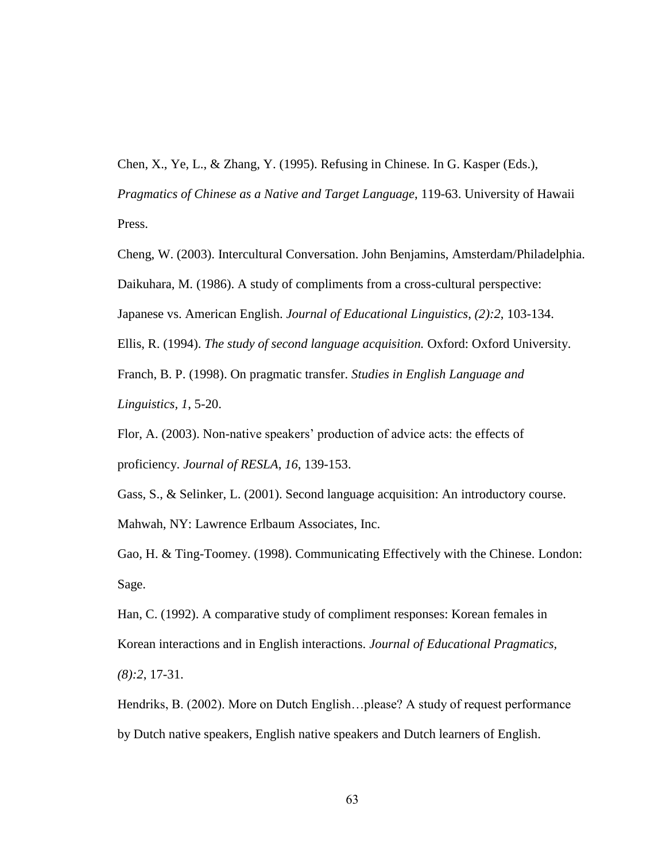Chen, X., Ye, L., & Zhang, Y. (1995). Refusing in Chinese. In G. Kasper (Eds.), *Pragmatics of Chinese as a Native and Target Language*, 119-63. University of Hawaii

Press.

Cheng, W. (2003). Intercultural Conversation. John Benjamins, Amsterdam/Philadelphia.

Daikuhara, M. (1986). A study of compliments from a cross-cultural perspective:

Japanese vs. American English. *Journal of Educational Linguistics*, *(2):2*, 103-134.

Ellis, R. (1994). *The study of second language acquisition.* Oxford: Oxford University.

Franch, B. P. (1998). On pragmatic transfer. *Studies in English Language and Linguistics, 1*, 5-20.

Flor, A. (2003). Non-native speakers' production of advice acts: the effects of proficiency. *Journal of RESLA*, *16*, 139-153.

Gass, S., & Selinker, L. (2001). Second language acquisition: An introductory course. Mahwah, NY: Lawrence Erlbaum Associates, Inc.

Gao, H. & Ting-Toomey. (1998). Communicating Effectively with the Chinese. London: Sage.

Han, C. (1992). A comparative study of compliment responses: Korean females in Korean interactions and in English interactions. *Journal of Educational Pragmatics, (8):2*, 17-31.

Hendriks, B. (2002). More on Dutch English…please? A study of request performance by Dutch native speakers, English native speakers and Dutch learners of English.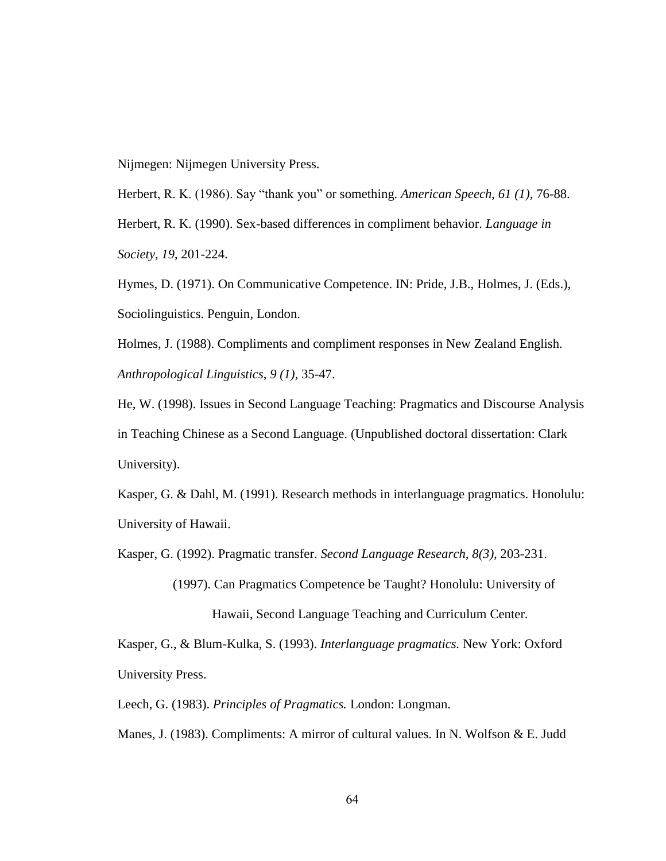Nijmegen: Nijmegen University Press.

Herbert, R. K. (1986). Say "thank you" or something. *American Speech*, 61 (1), 76-88. Herbert, R. K. (1990). Sex-based differences in compliment behavior. *Language in Society*, *19*, 201-224.

Hymes, D. (1971). On Communicative Competence. IN: Pride, J.B., Holmes, J. (Eds.), Sociolinguistics. Penguin, London.

Holmes, J. (1988). Compliments and compliment responses in New Zealand English. *Anthropological Linguistics*, *9 (1),* 35-47.

He, W. (1998). Issues in Second Language Teaching: Pragmatics and Discourse Analysis in Teaching Chinese as a Second Language. (Unpublished doctoral dissertation: Clark University).

Kasper, G. & Dahl, M. (1991). Research methods in interlanguage pragmatics. Honolulu: University of Hawaii.

Kasper, G. (1992). Pragmatic transfer. *Second Language Research, 8(3),* 203-231.

 (1997). Can Pragmatics Competence be Taught? Honolulu: University of Hawaii, Second Language Teaching and Curriculum Center.

Kasper, G., & Blum-Kulka, S. (1993). *Interlanguage pragmatics.* New York: Oxford University Press.

Leech, G. (1983). *Principles of Pragmatics.* London: Longman.

Manes, J. (1983). Compliments: A mirror of cultural values. In N. Wolfson & E. Judd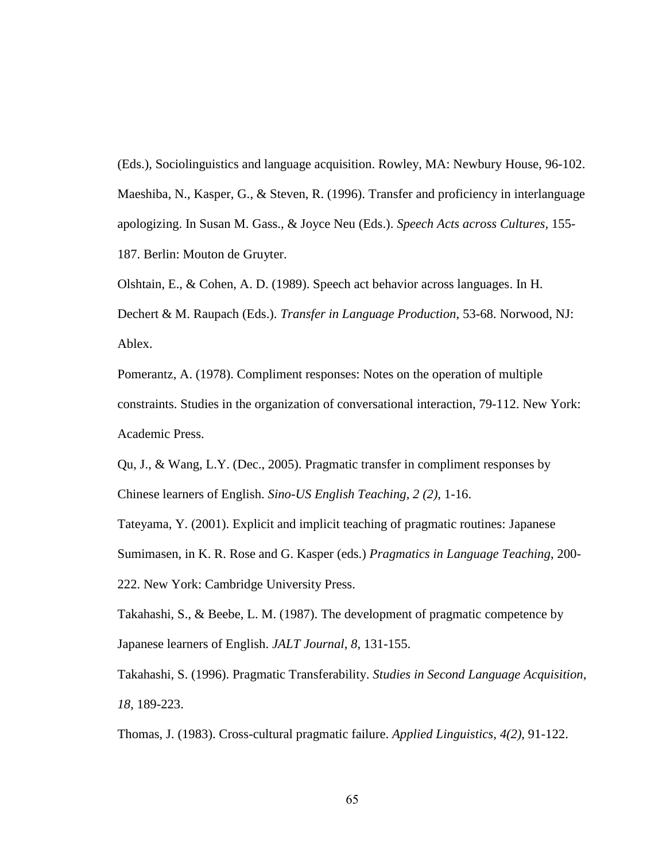(Eds.), Sociolinguistics and language acquisition. Rowley, MA: Newbury House, 96-102. Maeshiba, N., Kasper, G., & Steven, R. (1996). Transfer and proficiency in interlanguage apologizing. In Susan M. Gass., & Joyce Neu (Eds.). *Speech Acts across Cultures,* 155- 187. Berlin: Mouton de Gruyter.

Olshtain, E., & Cohen, A. D. (1989). Speech act behavior across languages. In H. Dechert & M. Raupach (Eds.). *Transfer in Language Production*, 53-68. Norwood, NJ: Ablex.

Pomerantz, A. (1978). Compliment responses: Notes on the operation of multiple constraints. Studies in the organization of conversational interaction, 79-112. New York: Academic Press.

Qu, J., & Wang, L.Y. (Dec., 2005). Pragmatic transfer in compliment responses by Chinese learners of English. *Sino-US English Teaching*, *2 (2),* 1-16.

Tateyama, Y. (2001). Explicit and implicit teaching of pragmatic routines: Japanese Sumimasen, in K. R. Rose and G. Kasper (eds.) *Pragmatics in Language Teaching*, 200- 222. New York: Cambridge University Press.

Takahashi, S., & Beebe, L. M. (1987). The development of pragmatic competence by Japanese learners of English. *JALT Journal*, *8*, 131-155.

Takahashi, S. (1996). Pragmatic Transferability. *Studies in Second Language Acquisition, 18*, 189-223.

Thomas, J. (1983). Cross-cultural pragmatic failure. *Applied Linguistics*, *4(2)*, 91-122.